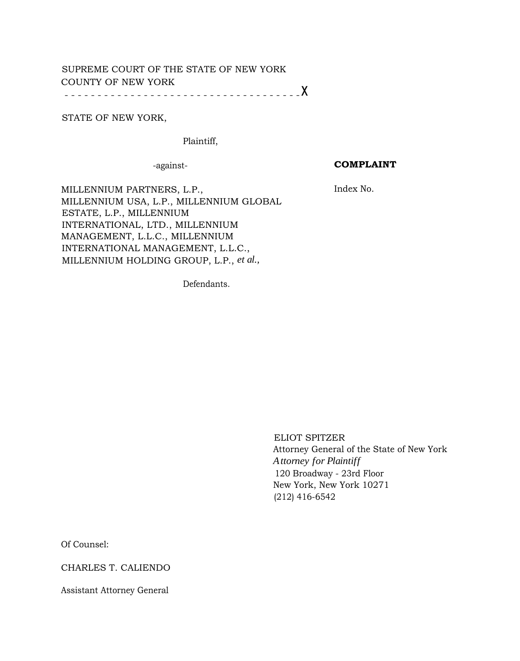# SUPREME COURT OF THE STATE OF NEW YORK COUNTY OF NEW YORK

- - - - - - - - - - - - - - - - - - - - - - - - - - - - - - - - - - - -x

## STATE OF NEW YORK,

Plaintiff,

-against-

## **COMPLAINT**

Index No.

MILLENNIUM PARTNERS, L.P., MILLENNIUM USA, L.P., MILLENNIUM GLOBAL ESTATE, L.P., MILLENNIUM INTERNATIONAL, LTD., MILLENNIUM MANAGEMENT, L.L.C., MILLENNIUM INTERNATIONAL MANAGEMENT, L.L.C., MILLENNIUM HOLDING GROUP, L.P., *et al.,*

Defendants.

ELIOT SPITZER Attorney General of the State of New York *Attorney for Plaintiff* 120 Broadway - 23rd Floor New York, New York 10271 (212) 416-6542

Of Counsel:

CHARLES T. CALIENDO

Assistant Attorney General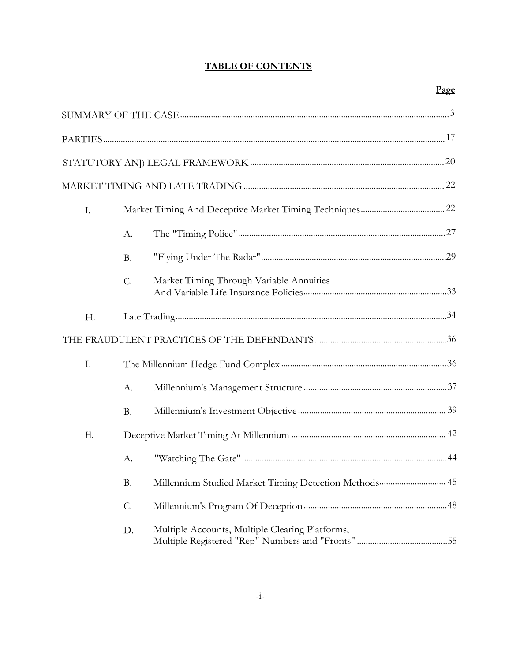# **TABLE OF CONTENTS**

| I. |                 |                                                        |  |
|----|-----------------|--------------------------------------------------------|--|
|    | А.              |                                                        |  |
|    | <b>B.</b>       |                                                        |  |
|    | $\mathcal{C}$ . | Market Timing Through Variable Annuities               |  |
| H. |                 |                                                        |  |
|    |                 |                                                        |  |
| I. |                 |                                                        |  |
|    | А.              |                                                        |  |
|    | <b>B.</b>       |                                                        |  |
| H. |                 |                                                        |  |
|    | А.              |                                                        |  |
|    | <b>B.</b>       | Millennium Studied Market Timing Detection Methods  45 |  |
|    | $\mathcal{C}$ . |                                                        |  |
|    | D.              | Multiple Accounts, Multiple Clearing Platforms,        |  |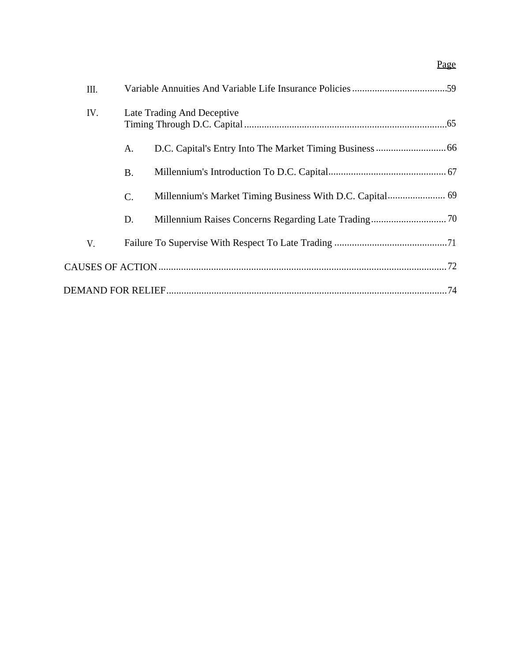# Page

| III. |           |                                                          |  |  |
|------|-----------|----------------------------------------------------------|--|--|
| IV.  |           | Late Trading And Deceptive                               |  |  |
|      | A.        |                                                          |  |  |
|      | <b>B.</b> |                                                          |  |  |
|      | C.        | Millennium's Market Timing Business With D.C. Capital 69 |  |  |
|      | D.        |                                                          |  |  |
| V.   |           |                                                          |  |  |
|      |           |                                                          |  |  |
|      |           |                                                          |  |  |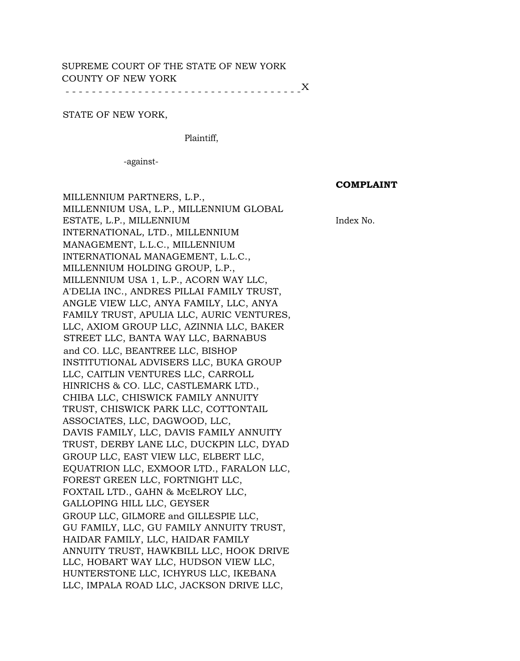# SUPREME COURT OF THE STATE OF NEW YORK COUNTY OF NEW YORK

- - - - - - - - - - - - - - - - - - - - - - - - - - - - - - - - - - - - X

### STATE OF NEW YORK,

Plaintiff,

-against-

#### **COMPLAINT**

Index No.

MILLENNIUM PARTNERS, L.P., MILLENNIUM USA, L.P., MILLENNIUM GLOBAL ESTATE, L.P., MILLENNIUM INTERNATIONAL, LTD., MILLENNIUM MANAGEMENT, L.L.C., MILLENNIUM INTERNATIONAL MANAGEMENT, L.L.C., MILLENNIUM HOLDING GROUP, L.P., MILLENNIUM USA 1, L.P., ACORN WAY LLC, A'DELIA INC., ANDRES PILLAI FAMILY TRUST, ANGLE VIEW LLC, ANYA FAMILY, LLC, ANYA FAMILY TRUST, APULIA LLC, AURIC VENTURES, LLC, AXIOM GROUP LLC, AZINNIA LLC, BAKER STREET LLC, BANTA WAY LLC, BARNABUS and CO. LLC, BEANTREE LLC, BISHOP INSTITUTIONAL ADVISERS LLC, BUKA GROUP LLC, CAITLIN VENTURES LLC, CARROLL HINRICHS & CO. LLC, CASTLEMARK LTD., CHIBA LLC, CHISWICK FAMILY ANNUITY TRUST, CHISWICK PARK LLC, COTTONTAIL ASSOCIATES, LLC, DAGWOOD, LLC, DAVIS FAMILY, LLC, DAVIS FAMILY ANNUITY TRUST, DERBY LANE LLC, DUCKPIN LLC, DYAD GROUP LLC, EAST VIEW LLC, ELBERT LLC, EQUATRION LLC, EXMOOR LTD., FARALON LLC, FOREST GREEN LLC, FORTNIGHT LLC, FOXTAIL LTD., GAHN & McELROY LLC, GALLOPING HILL LLC, GEYSER GROUP LLC, GILMORE and GILLESPIE LLC, GU FAMILY, LLC, GU FAMILY ANNUITY TRUST, HAIDAR FAMILY, LLC, HAIDAR FAMILY ANNUITY TRUST, HAWKBILL LLC, HOOK DRIVE LLC, HOBART WAY LLC, HUDSON VIEW LLC, HUNTERSTONE LLC, ICHYRUS LLC, IKEBANA LLC, IMPALA ROAD LLC, JACKSON DRIVE LLC,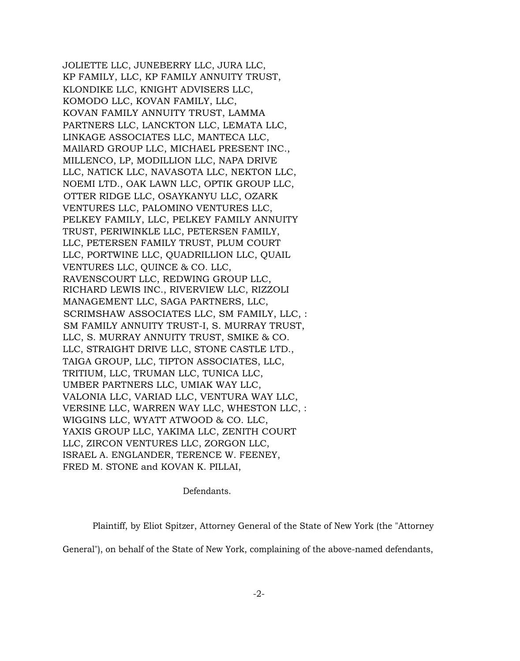JOLIETTE LLC, JUNEBERRY LLC, JURA LLC, KP FAMILY, LLC, KP FAMILY ANNUITY TRUST, KLONDIKE LLC, KNIGHT ADVISERS LLC, KOMODO LLC, KOVAN FAMILY, LLC, KOVAN FAMILY ANNUITY TRUST, LAMMA PARTNERS LLC, LANCKTON LLC, LEMATA LLC, LINKAGE ASSOCIATES LLC, MANTECA LLC, MAllARD GROUP LLC, MICHAEL PRESENT INC., MILLENCO, LP, MODILLION LLC, NAPA DRIVE LLC, NATICK LLC, NAVASOTA LLC, NEKTON LLC, NOEMI LTD., OAK LAWN LLC, OPTIK GROUP LLC, OTTER RIDGE LLC, OSAYKANYU LLC, OZARK VENTURES LLC, PALOMINO VENTURES LLC, PELKEY FAMILY, LLC, PELKEY FAMILY ANNUITY TRUST, PERIWINKLE LLC, PETERSEN FAMILY, LLC, PETERSEN FAMILY TRUST, PLUM COURT LLC, PORTWINE LLC, QUADRILLION LLC, QUAIL VENTURES LLC, QUINCE & CO. LLC, RAVENSCOURT LLC, REDWING GROUP LLC, RICHARD LEWIS INC., RIVERVIEW LLC, RIZZOLI MANAGEMENT LLC, SAGA PARTNERS, LLC, SCRIMSHAW ASSOCIATES LLC, SM FAMILY, LLC, : SM FAMILY ANNUITY TRUST-I, S. MURRAY TRUST, LLC, S. MURRAY ANNUITY TRUST, SMIKE & CO. LLC, STRAIGHT DRIVE LLC, STONE CASTLE LTD., TAIGA GROUP, LLC, TIPTON ASSOCIATES, LLC, TRITIUM, LLC, TRUMAN LLC, TUNICA LLC, UMBER PARTNERS LLC, UMIAK WAY LLC, VALONIA LLC, VARIAD LLC, VENTURA WAY LLC, VERSINE LLC, WARREN WAY LLC, WHESTON LLC, : WIGGINS LLC, WYATT ATWOOD & CO. LLC, YAXIS GROUP LLC, YAKIMA LLC, ZENITH COURT LLC, ZIRCON VENTURES LLC, ZORGON LLC, ISRAEL A. ENGLANDER, TERENCE W. FEENEY, FRED M. STONE and KOVAN K. PILLAI,

Defendants.

Plaintiff, by Eliot Spitzer, Attorney General of the State of New York (the "Attorney

General"), on behalf of the State of New York, complaining of the above-named defendants,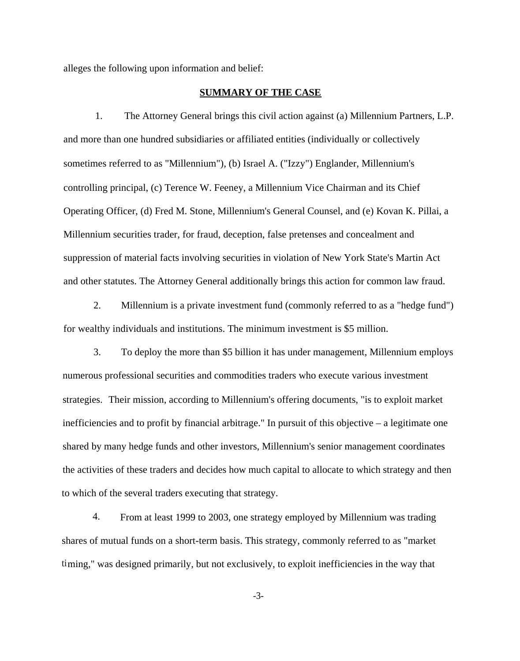alleges the following upon information and belief:

### **SUMMARY OF THE CASE**

1. The Attorney General brings this civil action against (a) Millennium Partners, L.P. and more than one hundred subsidiaries or affiliated entities (individually or collectively sometimes referred to as "Millennium"), (b) Israel A. ("Izzy") Englander, Millennium's controlling principal, (c) Terence W. Feeney, a Millennium Vice Chairman and its Chief Operating Officer, (d) Fred M. Stone, Millennium's General Counsel, and (e) Kovan K. Pillai, a Millennium securities trader, for fraud, deception, false pretenses and concealment and suppression of material facts involving securities in violation of New York State's Martin Act and other statutes. The Attorney General additionally brings this action for common law fraud.

2. Millennium is a private investment fund (commonly referred to as a "hedge fund") for wealthy individuals and institutions. The minimum investment is \$5 million.

3. To deploy the more than \$5 billion it has under management, Millennium employs numerous professional securities and commodities traders who execute various investment strategies. Their mission, according to Millennium's offering documents, "is to exploit market inefficiencies and to profit by financial arbitrage." In pursuit of this objective – a legitimate one shared by many hedge funds and other investors, Millennium's senior management coordinates the activities of these traders and decides how much capital to allocate to which strategy and then to which of the several traders executing that strategy.

4. From at least 1999 to 2003, one strategy employed by Millennium was trading shares of mutual funds on a short-term basis. This strategy, commonly referred to as "market timing," was designed primarily, but not exclusively, to exploit inefficiencies in the way that

-3-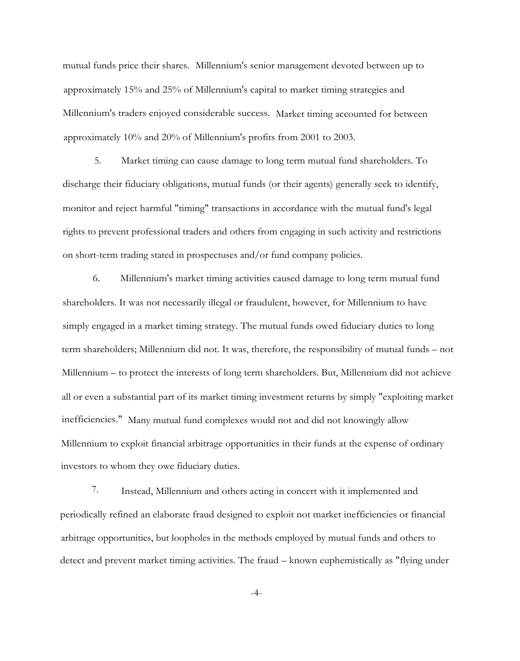mutual funds price their shares. Millennium's senior management devoted between up to approximately 15% and 25% of Millennium's capital to market timing strategies and Millennium's traders enjoyed considerable success. Market timing accounted for between approximately 10% and 20% of Millennium's profits from 2001 to 2003.

5. Market timing can cause damage to long term mutual fund shareholders. To discharge their fiduciary obligations, mutual funds (or their agents) generally seek to identify, monitor and reject harmful "timing" transactions in accordance with the mutual fund's legal rights to prevent professional traders and others from engaging in such activity and restrictions on short-term trading stated in prospectuses and/or fund company policies.

6. Millennium's market timing activities caused damage to long term mutual fund shareholders. It was not necessarily illegal or fraudulent, however, for Millennium to have simply engaged in a market timing strategy. The mutual funds owed fiduciary duties to long term shareholders; Millennium did not. It was, therefore, the responsibility of mutual funds – not Millennium – to protect the interests of long term shareholders. But, Millennium did not achieve all or even a substantial part of its market timing investment returns by simply "exploiting market inefficiencies." Many mutual fund complexes would not and did not knowingly allow Millennium to exploit financial arbitrage opportunities in their funds at the expense of ordinary investors to whom they owe fiduciary duties.

7. Instead, Millennium and others acting in concert with it implemented and periodically refined an elaborate fraud designed to exploit not market inefficiencies or financial arbitrage opportunities, but loopholes in the methods employed by mutual funds and others to detect and prevent market timing activities. The fraud – known euphemistically as "flying under

-4-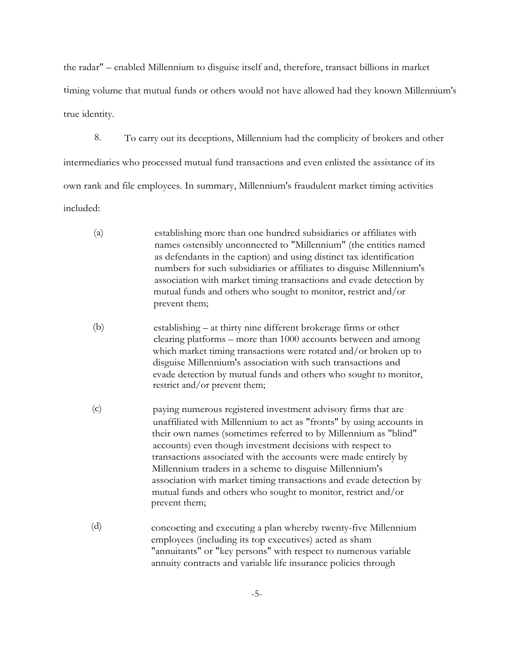the radar" – enabled Millennium to disguise itself and, therefore, transact billions in market timing volume that mutual funds or others would not have allowed had they known Millennium's true identity.

8. To carry out its deceptions, Millennium had the complicity of brokers and other intermediaries who processed mutual fund transactions and even enlisted the assistance of its own rank and file employees. In summary, Millennium's fraudulent market timing activities included:

- (a) establishing more than one hundred subsidiaries or affiliates with names ostensibly unconnected to "Millennium" (the entities named as defendants in the caption) and using distinct tax identification numbers for such subsidiaries or affiliates to disguise Millennium's association with market timing transactions and evade detection by mutual funds and others who sought to monitor, restrict and/or prevent them;
- (b) establishing at thirty nine different brokerage firms or other clearing platforms – more than 1000 accounts between and among which market timing transactions were rotated and/or broken up to disguise Millennium's association with such transactions and evade detection by mutual funds and others who sought to monitor, restrict and/or prevent them;
- (c) paying numerous registered investment advisory firms that are unaffiliated with Millennium to act as "fronts" by using accounts in their own names (sometimes referred to by Millennium as "blind" accounts) even though investment decisions with respect to transactions associated with the accounts were made entirely by Millennium traders in a scheme to disguise Millennium's association with market timing transactions and evade detection by mutual funds and others who sought to monitor, restrict and/or prevent them;
- (d) concocting and executing a plan whereby twenty-five Millennium employees (including its top executives) acted as sham "annuitants" or "key persons" with respect to numerous variable annuity contracts and variable life insurance policies through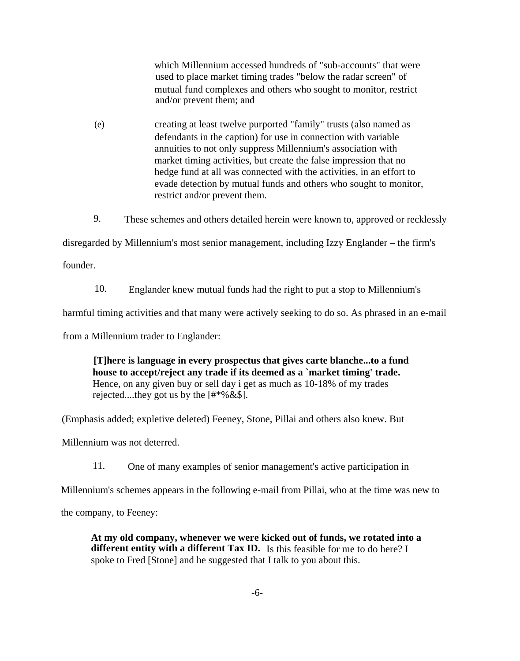which Millennium accessed hundreds of "sub-accounts" that were used to place market timing trades "below the radar screen" of mutual fund complexes and others who sought to monitor, restrict and/or prevent them; and

- (e) creating at least twelve purported "family" trusts (also named as defendants in the caption) for use in connection with variable annuities to not only suppress Millennium's association with market timing activities, but create the false impression that no hedge fund at all was connected with the activities, in an effort to evade detection by mutual funds and others who sought to monitor, restrict and/or prevent them.
- 9. These schemes and others detailed herein were known to, approved or recklessly

disregarded by Millennium's most senior management, including Izzy Englander – the firm's

founder.

10. Englander knew mutual funds had the right to put a stop to Millennium's

harmful timing activities and that many were actively seeking to do so. As phrased in an e-mail

from a Millennium trader to Englander:

**[T]here is language in every prospectus that gives carte blanche...to a fund house to accept/reject any trade if its deemed as a `market timing' trade.** Hence, on any given buy or sell day i get as much as 10-18% of my trades rejected....they got us by the  $[$ #\*%&\$].

(Emphasis added; expletive deleted) Feeney, Stone, Pillai and others also knew. But

Millennium was not deterred.

11. One of many examples of senior management's active participation in

Millennium's schemes appears in the following e-mail from Pillai, who at the time was new to

the company, to Feeney:

**At my old company, whenever we were kicked out of funds, we rotated into a** different entity with a different Tax ID. Is this feasible for me to do here? I spoke to Fred [Stone] and he suggested that I talk to you about this.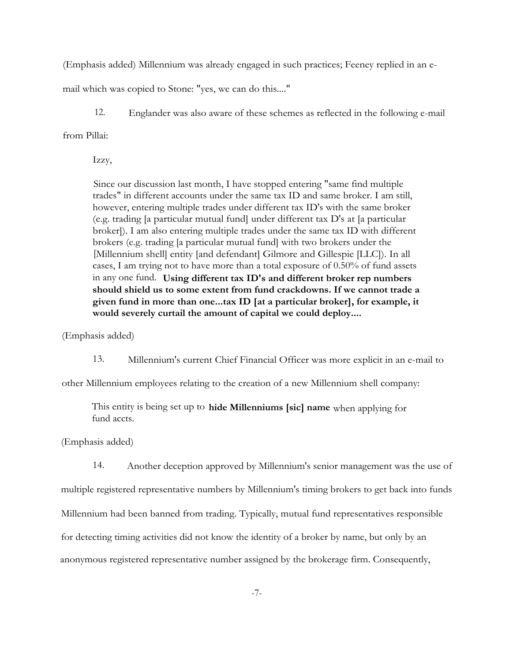(Emphasis added) Millennium was already engaged in such practices; Feeney replied in an e-

mail which was copied to Stone: "yes, we can do this...."

12. Englander was also aware of these schemes as reflected in the following e-mail from Pillai:

Izzy,

Since our discussion last month, I have stopped entering "same find multiple trades" in different accounts under the same tax ID and same broker. I am still, however, entering multiple trades under different tax ID's with the same broker (e.g. trading [a particular mutual fund] under different tax D's at [a particular broker]). I am also entering multiple trades under the same tax ID with different brokers (e.g. trading [a particular mutual fund] with two brokers under the [Millennium shell] entity [and defendant] Gilmore and Gillespie [LLC]). In all cases, I am trying not to have more than a total exposure of 0.50% of fund assets in any one fund. **Using different tax ID's and different broker rep numbers should shield us to some extent from fund crackdowns. If we cannot trade a given fund in more than one...tax ID [at a particular broker], for example, it would severely curtail the amount of capital we could deploy....**

(Emphasis added)

13. Millennium's current Chief Financial Officer was more explicit in an e-mail to

other Millennium employees relating to the creation of a new Millennium shell company:

This entity is being set up to **hide Millenniums [sic] name** when applying for fund accts.

(Emphasis added)

14. Another deception approved by Millennium's senior management was the use of multiple registered representative numbers by Millennium's timing brokers to get back into funds Millennium had been banned from trading. Typically, mutual fund representatives responsible for detecting timing activities did not know the identity of a broker by name, but only by an anonymous registered representative number assigned by the brokerage firm. Consequently,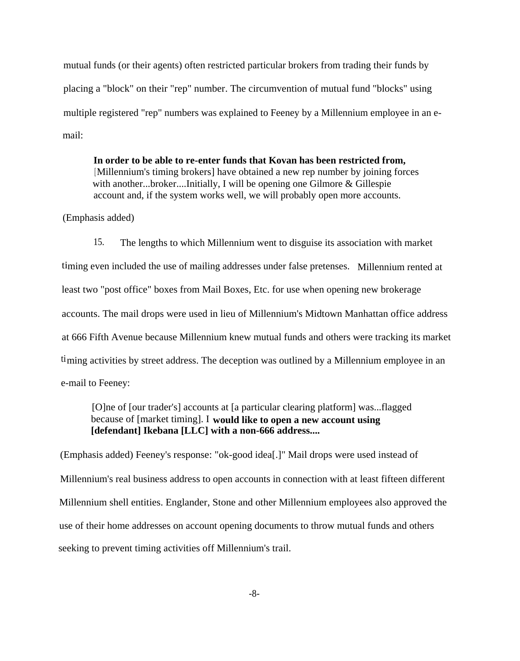mutual funds (or their agents) often restricted particular brokers from trading their funds by placing a "block" on their "rep" number. The circumvention of mutual fund "blocks" using multiple registered "rep" numbers was explained to Feeney by a Millennium employee in an email:

**In order to be able to re-enter funds that Kovan has been restricted from,** [Millennium's timing brokers] have obtained a new rep number by joining forces with another...broker....Initially, I will be opening one Gilmore & Gillespie account and, if the system works well, we will probably open more accounts.

(Emphasis added)

15. The lengths to which Millennium went to disguise its association with market timing even included the use of mailing addresses under false pretenses. Millennium rented at least two "post office" boxes from Mail Boxes, Etc. for use when opening new brokerage accounts. The mail drops were used in lieu of Millennium's Midtown Manhattan office address at 666 Fifth Avenue because Millennium knew mutual funds and others were tracking its market timing activities by street address. The deception was outlined by a Millennium employee in an e-mail to Feeney:

[O]ne of [our trader's] accounts at [a particular clearing platform] was...flagged because of [market timing]. I **would like to open a new account using [defendant] Ikebana [LLC] with a non-666 address....**

(Emphasis added) Feeney's response: "ok-good idea[.]" Mail drops were used instead of Millennium's real business address to open accounts in connection with at least fifteen different Millennium shell entities. Englander, Stone and other Millennium employees also approved the use of their home addresses on account opening documents to throw mutual funds and others seeking to prevent timing activities off Millennium's trail.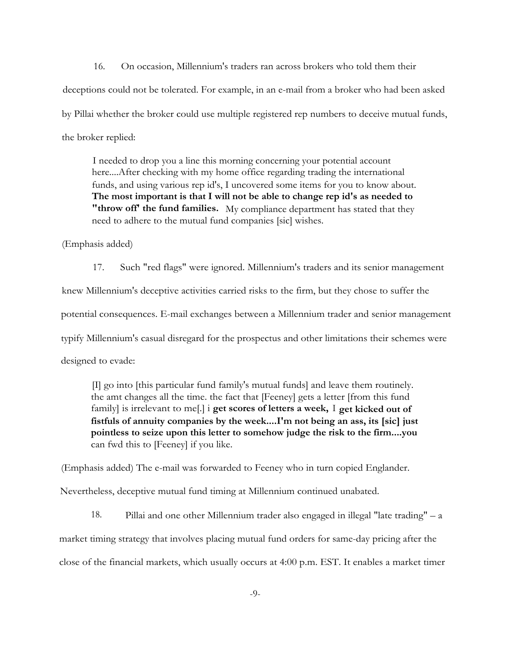16. On occasion, Millennium's traders ran across brokers who told them their deceptions could not be tolerated. For example, in an e-mail from a broker who had been asked by Pillai whether the broker could use multiple registered rep numbers to deceive mutual funds, the broker replied:

I needed to drop you a line this morning concerning your potential account here....After checking with my home office regarding trading the international funds, and using various rep id's, I uncovered some items for you to know about. **The most important is that I will not be able to change rep id's as needed to "throw off' the fund families.** My compliance department has stated that they need to adhere to the mutual fund companies [sic] wishes.

(Emphasis added)

17. Such "red flags" were ignored. Millennium's traders and its senior management knew Millennium's deceptive activities carried risks to the firm, but they chose to suffer the potential consequences. E-mail exchanges between a Millennium trader and senior management typify Millennium's casual disregard for the prospectus and other limitations their schemes were designed to evade:

[I] go into [this particular fund family's mutual funds] and leave them routinely. the amt changes all the time. the fact that [Feeney] gets a letter [from this fund family] is irrelevant to me[.] i **get scores of letters a week,** I **get kicked out of fistfuls of annuity companies by the week....I'm not being an ass, its [sic] just pointless to seize upon this letter to somehow judge the risk to the firm....you** can fwd this to [Feeney] if you like.

(Emphasis added) The e-mail was forwarded to Feeney who in turn copied Englander.

Nevertheless, deceptive mutual fund timing at Millennium continued unabated.

18. Pillai and one other Millennium trader also engaged in illegal "late trading" – a market timing strategy that involves placing mutual fund orders for same-day pricing after the close of the financial markets, which usually occurs at 4:00 p.m. EST. It enables a market timer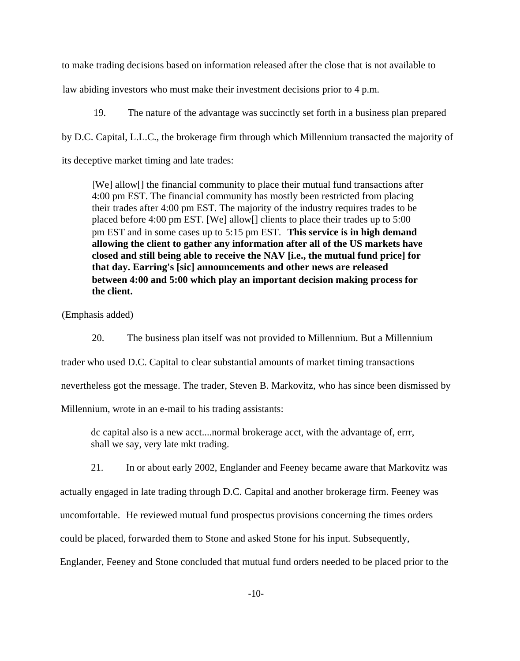to make trading decisions based on information released after the close that is not available to

law abiding investors who must make their investment decisions prior to 4 p.m.

19. The nature of the advantage was succinctly set forth in a business plan prepared by D.C. Capital, L.L.C., the brokerage firm through which Millennium transacted the majority of its deceptive market timing and late trades:

[We] allow[] the financial community to place their mutual fund transactions after 4:00 pm EST. The financial community has mostly been restricted from placing their trades after 4:00 pm EST. The majority of the industry requires trades to be placed before 4:00 pm EST. [We] allow[] clients to place their trades up to 5:00 pm EST and in some cases up to 5:15 pm EST. **This service is in high demand allowing the client to gather any information after all of the US markets have closed and still being able to receive the NAV [i.e., the mutual fund price] for that day. Earring's [sic] announcements and other news are released between 4:00 and 5:00 which play an important decision making process for the client.**

(Emphasis added)

20. The business plan itself was not provided to Millennium. But a Millennium trader who used D.C. Capital to clear substantial amounts of market timing transactions nevertheless got the message. The trader, Steven B. Markovitz, who has since been dismissed by Millennium, wrote in an e-mail to his trading assistants:

dc capital also is a new acct....normal brokerage acct, with the advantage of, errr, shall we say, very late mkt trading.

21. In or about early 2002, Englander and Feeney became aware that Markovitz was

actually engaged in late trading through D.C. Capital and another brokerage firm. Feeney was

uncomfortable. He reviewed mutual fund prospectus provisions concerning the times orders

could be placed, forwarded them to Stone and asked Stone for his input. Subsequently,

Englander, Feeney and Stone concluded that mutual fund orders needed to be placed prior to the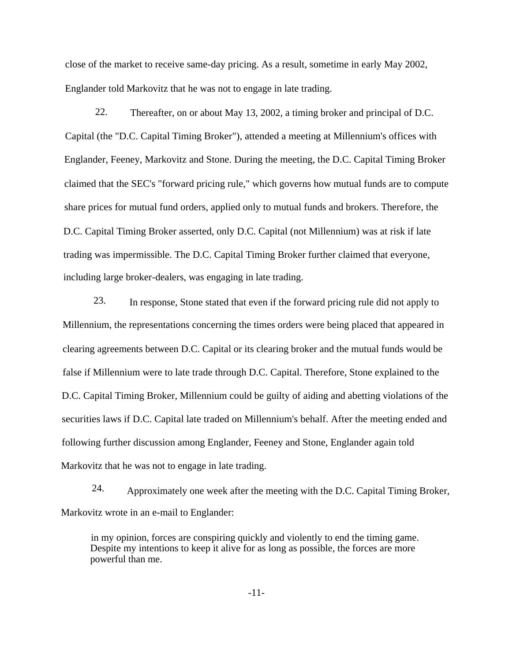close of the market to receive same-day pricing. As a result, sometime in early May 2002, Englander told Markovitz that he was not to engage in late trading.

22. Thereafter, on or about May 13, 2002, a timing broker and principal of D.C. Capital (the "D.C. Capital Timing Broker"), attended a meeting at Millennium's offices with Englander, Feeney, Markovitz and Stone. During the meeting, the D.C. Capital Timing Broker claimed that the SEC's "forward pricing rule," which governs how mutual funds are to compute share prices for mutual fund orders, applied only to mutual funds and brokers. Therefore, the D.C. Capital Timing Broker asserted, only D.C. Capital (not Millennium) was at risk if late trading was impermissible. The D.C. Capital Timing Broker further claimed that everyone, including large broker-dealers, was engaging in late trading.

23. In response, Stone stated that even if the forward pricing rule did not apply to Millennium, the representations concerning the times orders were being placed that appeared in clearing agreements between D.C. Capital or its clearing broker and the mutual funds would be false if Millennium were to late trade through D.C. Capital. Therefore, Stone explained to the D.C. Capital Timing Broker, Millennium could be guilty of aiding and abetting violations of the securities laws if D.C. Capital late traded on Millennium's behalf. After the meeting ended and following further discussion among Englander, Feeney and Stone, Englander again told Markovitz that he was not to engage in late trading.

24. Approximately one week after the meeting with the D.C. Capital Timing Broker, Markovitz wrote in an e-mail to Englander:

in my opinion, forces are conspiring quickly and violently to end the timing game. Despite my intentions to keep it alive for as long as possible, the forces are more powerful than me.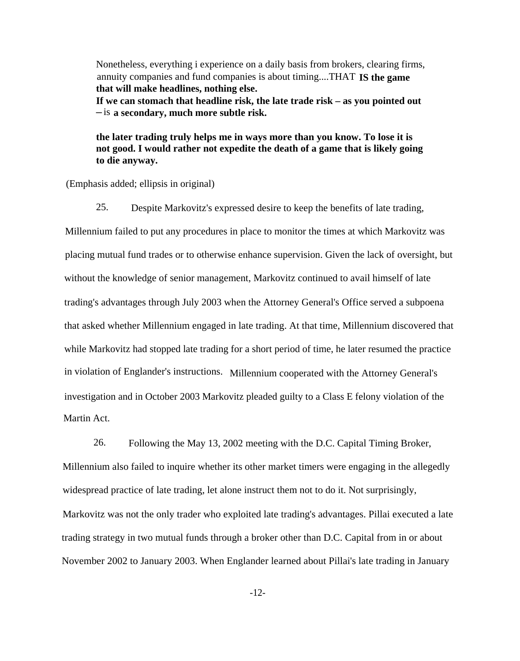Nonetheless, everything i experience on a daily basis from brokers, clearing firms, annuity companies and fund companies is about timing....THAT **IS the game that will make headlines, nothing else. If we can stomach that headline risk, the late trade risk – as you pointed out –** is **a secondary, much more subtle risk.**

**the later trading truly helps me in ways more than you know. To lose it is not good. I would rather not expedite the death of a game that is likely going to die anyway.**

(Emphasis added; ellipsis in original)

25. Despite Markovitz's expressed desire to keep the benefits of late trading,

Millennium failed to put any procedures in place to monitor the times at which Markovitz was placing mutual fund trades or to otherwise enhance supervision. Given the lack of oversight, but without the knowledge of senior management, Markovitz continued to avail himself of late trading's advantages through July 2003 when the Attorney General's Office served a subpoena that asked whether Millennium engaged in late trading. At that time, Millennium discovered that while Markovitz had stopped late trading for a short period of time, he later resumed the practice in violation of Englander's instructions. Millennium cooperated with the Attorney General's investigation and in October 2003 Markovitz pleaded guilty to a Class E felony violation of the Martin Act.

26. Following the May 13, 2002 meeting with the D.C. Capital Timing Broker, Millennium also failed to inquire whether its other market timers were engaging in the allegedly widespread practice of late trading, let alone instruct them not to do it. Not surprisingly, Markovitz was not the only trader who exploited late trading's advantages. Pillai executed a late trading strategy in two mutual funds through a broker other than D.C. Capital from in or about November 2002 to January 2003. When Englander learned about Pillai's late trading in January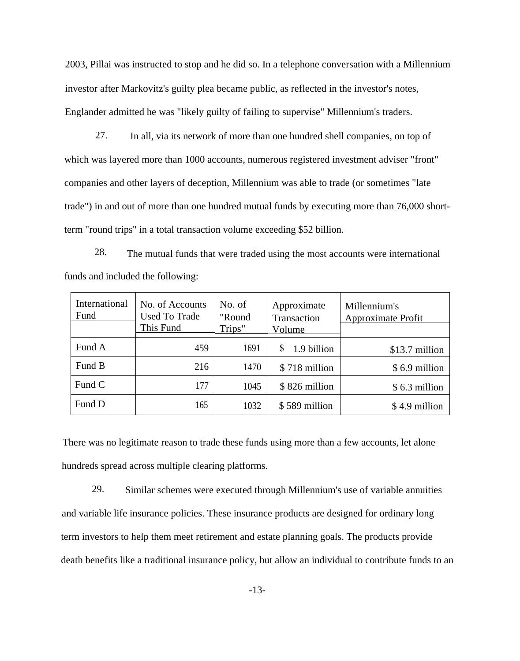2003, Pillai was instructed to stop and he did so. In a telephone conversation with a Millennium investor after Markovitz's guilty plea became public, as reflected in the investor's notes, Englander admitted he was "likely guilty of failing to supervise" Millennium's traders.

27. In all, via its network of more than one hundred shell companies, on top of which was layered more than 1000 accounts, numerous registered investment adviser "front" companies and other layers of deception, Millennium was able to trade (or sometimes "late trade") in and out of more than one hundred mutual funds by executing more than 76,000 shortterm "round trips" in a total transaction volume exceeding \$52 billion.

28. The mutual funds that were traded using the most accounts were international funds and included the following:

| International<br>Fund | No. of Accounts<br><b>Used To Trade</b><br>This Fund | No. of<br>"Round<br>Trips" | Approximate<br>Transaction<br>Volume | Millennium's<br><b>Approximate Profit</b> |
|-----------------------|------------------------------------------------------|----------------------------|--------------------------------------|-------------------------------------------|
|                       |                                                      |                            |                                      |                                           |
| Fund A                | 459                                                  | 1691                       | 1.9 billion                          | \$13.7 million                            |
| Fund B                | 216                                                  | 1470                       | \$718 million                        | \$6.9 million                             |
| Fund C                | 177                                                  | 1045                       | \$826 million                        | \$6.3 million                             |
| Fund D                | 165                                                  | 1032                       | \$589 million                        | \$4.9 million                             |

There was no legitimate reason to trade these funds using more than a few accounts, let alone hundreds spread across multiple clearing platforms.

29. Similar schemes were executed through Millennium's use of variable annuities and variable life insurance policies. These insurance products are designed for ordinary long term investors to help them meet retirement and estate planning goals. The products provide death benefits like a traditional insurance policy, but allow an individual to contribute funds to an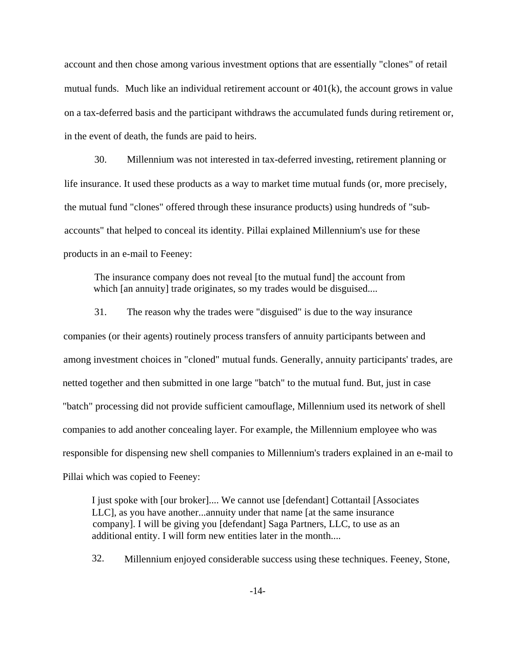account and then chose among various investment options that are essentially "clones" of retail mutual funds. Much like an individual retirement account or  $401(k)$ , the account grows in value on a tax-deferred basis and the participant withdraws the accumulated funds during retirement or, in the event of death, the funds are paid to heirs.

30. Millennium was not interested in tax-deferred investing, retirement planning or life insurance. It used these products as a way to market time mutual funds (or, more precisely, the mutual fund "clones" offered through these insurance products) using hundreds of "subaccounts" that helped to conceal its identity. Pillai explained Millennium's use for these products in an e-mail to Feeney:

The insurance company does not reveal [to the mutual fund] the account from which [an annuity] trade originates, so my trades would be disguised....

31. The reason why the trades were "disguised" is due to the way insurance companies (or their agents) routinely process transfers of annuity participants between and among investment choices in "cloned" mutual funds. Generally, annuity participants' trades, are netted together and then submitted in one large "batch" to the mutual fund. But, just in case "batch" processing did not provide sufficient camouflage, Millennium used its network of shell companies to add another concealing layer. For example, the Millennium employee who was responsible for dispensing new shell companies to Millennium's traders explained in an e-mail to Pillai which was copied to Feeney:

I just spoke with [our broker].... We cannot use [defendant] Cottantail [Associates LLC], as you have another...annuity under that name [at the same insurance company]. I will be giving you [defendant] Saga Partners, LLC, to use as an additional entity. I will form new entities later in the month....

32. Millennium enjoyed considerable success using these techniques. Feeney, Stone,

-14-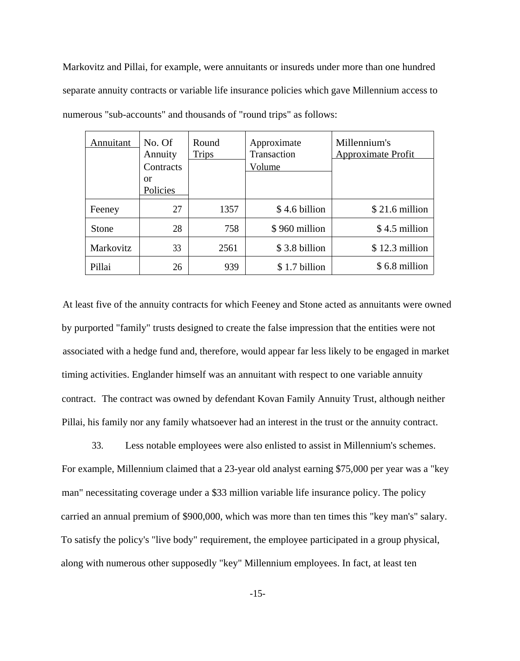Markovitz and Pillai, for example, were annuitants or insureds under more than one hundred separate annuity contracts or variable life insurance policies which gave Millennium access to numerous "sub-accounts" and thousands of "round trips" as follows:

| Annuitant | No. Of<br>Annuity | Round<br><b>Trips</b> | Approximate<br>Transaction | Millennium's<br><b>Approximate Profit</b> |
|-----------|-------------------|-----------------------|----------------------------|-------------------------------------------|
|           | Contracts         |                       | Volume                     |                                           |
|           | or                |                       |                            |                                           |
|           | Policies          |                       |                            |                                           |
| Feeney    | 27                | 1357                  | \$4.6 billion              | $$21.6$ million                           |
| Stone     | 28                | 758                   | \$960 million              | \$4.5 million                             |
| Markovitz | 33                | 2561                  | \$3.8 billion              | $$12.3$ million                           |
| Pillai    | 26                | 939                   | \$1.7 billion              | \$6.8 million                             |

At least five of the annuity contracts for which Feeney and Stone acted as annuitants were owned by purported "family" trusts designed to create the false impression that the entities were not associated with a hedge fund and, therefore, would appear far less likely to be engaged in market timing activities. Englander himself was an annuitant with respect to one variable annuity contract. The contract was owned by defendant Kovan Family Annuity Trust, although neither Pillai, his family nor any family whatsoever had an interest in the trust or the annuity contract.

33. Less notable employees were also enlisted to assist in Millennium's schemes. For example, Millennium claimed that a 23-year old analyst earning \$75,000 per year was a "key man" necessitating coverage under a \$33 million variable life insurance policy. The policy carried an annual premium of \$900,000, which was more than ten times this "key man's" salary. To satisfy the policy's "live body" requirement, the employee participated in a group physical, along with numerous other supposedly "key" Millennium employees. In fact, at least ten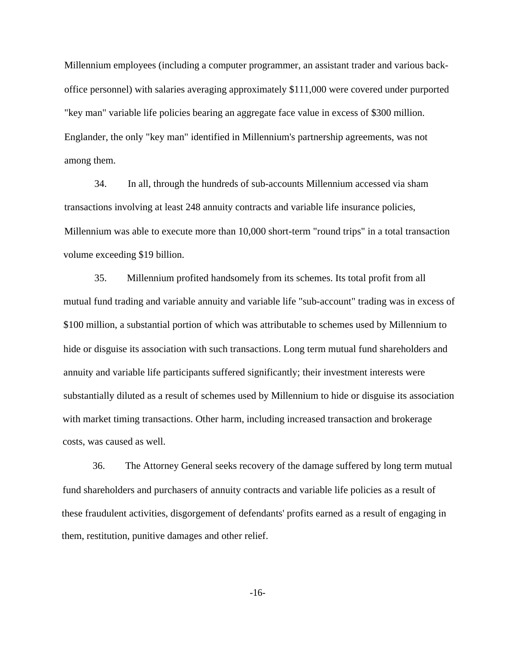Millennium employees (including a computer programmer, an assistant trader and various backoffice personnel) with salaries averaging approximately \$111,000 were covered under purported "key man" variable life policies bearing an aggregate face value in excess of \$300 million. Englander, the only "key man" identified in Millennium's partnership agreements, was not among them.

34. In all, through the hundreds of sub-accounts Millennium accessed via sham transactions involving at least 248 annuity contracts and variable life insurance policies, Millennium was able to execute more than 10,000 short-term "round trips" in a total transaction volume exceeding \$19 billion.

35. Millennium profited handsomely from its schemes. Its total profit from all mutual fund trading and variable annuity and variable life "sub-account" trading was in excess of \$100 million, a substantial portion of which was attributable to schemes used by Millennium to hide or disguise its association with such transactions. Long term mutual fund shareholders and annuity and variable life participants suffered significantly; their investment interests were substantially diluted as a result of schemes used by Millennium to hide or disguise its association with market timing transactions. Other harm, including increased transaction and brokerage costs, was caused as well.

36. The Attorney General seeks recovery of the damage suffered by long term mutual fund shareholders and purchasers of annuity contracts and variable life policies as a result of these fraudulent activities, disgorgement of defendants' profits earned as a result of engaging in them, restitution, punitive damages and other relief.

-16-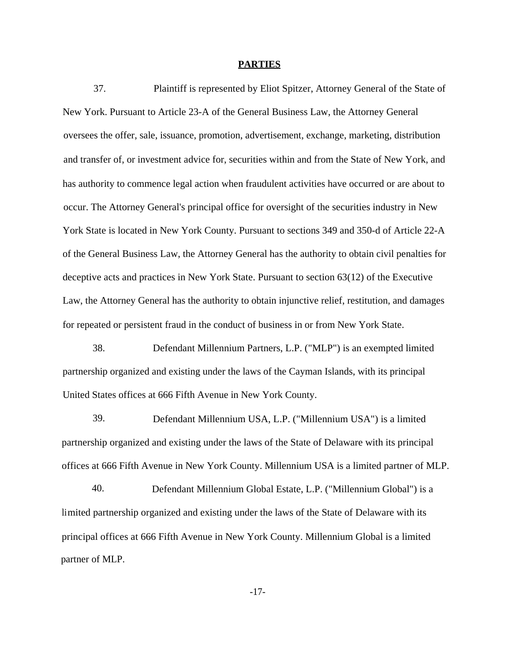### **PARTIES**

37. Plaintiff is represented by Eliot Spitzer, Attorney General of the State of New York. Pursuant to Article 23-A of the General Business Law, the Attorney General oversees the offer, sale, issuance, promotion, advertisement, exchange, marketing, distribution and transfer of, or investment advice for, securities within and from the State of New York, and has authority to commence legal action when fraudulent activities have occurred or are about to occur. The Attorney General's principal office for oversight of the securities industry in New York State is located in New York County. Pursuant to sections 349 and 350-d of Article 22-A of the General Business Law, the Attorney General has the authority to obtain civil penalties for deceptive acts and practices in New York State. Pursuant to section 63(12) of the Executive Law, the Attorney General has the authority to obtain injunctive relief, restitution, and damages for repeated or persistent fraud in the conduct of business in or from New York State.

38. Defendant Millennium Partners, L.P. ("MLP") is an exempted limited partnership organized and existing under the laws of the Cayman Islands, with its principal United States offices at 666 Fifth Avenue in New York County.

39. Defendant Millennium USA, L.P. ("Millennium USA") is a limited partnership organized and existing under the laws of the State of Delaware with its principal offices at 666 Fifth Avenue in New York County. Millennium USA is a limited partner of MLP.

40. Defendant Millennium Global Estate, L.P. ("Millennium Global") is a limited partnership organized and existing under the laws of the State of Delaware with its principal offices at 666 Fifth Avenue in New York County. Millennium Global is a limited partner of MLP.

-17-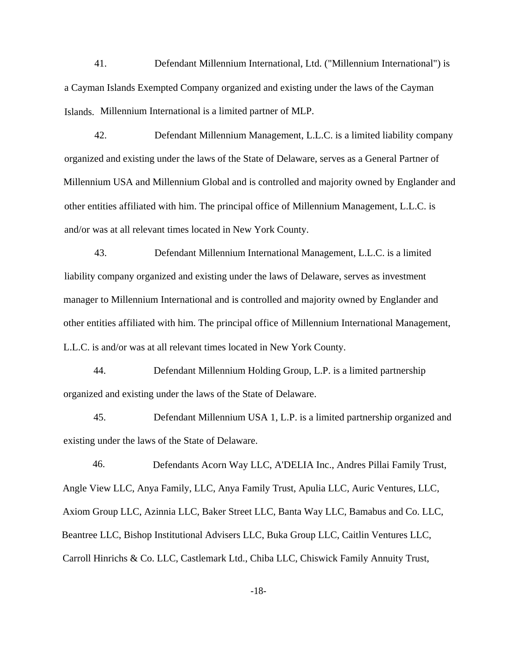41. Defendant Millennium International, Ltd. ("Millennium International") is a Cayman Islands Exempted Company organized and existing under the laws of the Cayman Islands. Millennium International is a limited partner of MLP.

42. Defendant Millennium Management, L.L.C. is a limited liability company organized and existing under the laws of the State of Delaware, serves as a General Partner of Millennium USA and Millennium Global and is controlled and majority owned by Englander and other entities affiliated with him. The principal office of Millennium Management, L.L.C. is and/or was at all relevant times located in New York County.

43. Defendant Millennium International Management, L.L.C. is a limited liability company organized and existing under the laws of Delaware, serves as investment manager to Millennium International and is controlled and majority owned by Englander and other entities affiliated with him. The principal office of Millennium International Management, L.L.C. is and/or was at all relevant times located in New York County.

44. Defendant Millennium Holding Group, L.P. is a limited partnership organized and existing under the laws of the State of Delaware.

45. Defendant Millennium USA 1, L.P. is a limited partnership organized and existing under the laws of the State of Delaware.

46. Defendants Acorn Way LLC, A'DELIA Inc., Andres Pillai Family Trust, Angle View LLC, Anya Family, LLC, Anya Family Trust, Apulia LLC, Auric Ventures, LLC, Axiom Group LLC, Azinnia LLC, Baker Street LLC, Banta Way LLC, Bamabus and Co. LLC, Beantree LLC, Bishop Institutional Advisers LLC, Buka Group LLC, Caitlin Ventures LLC, Carroll Hinrichs & Co. LLC, Castlemark Ltd., Chiba LLC, Chiswick Family Annuity Trust,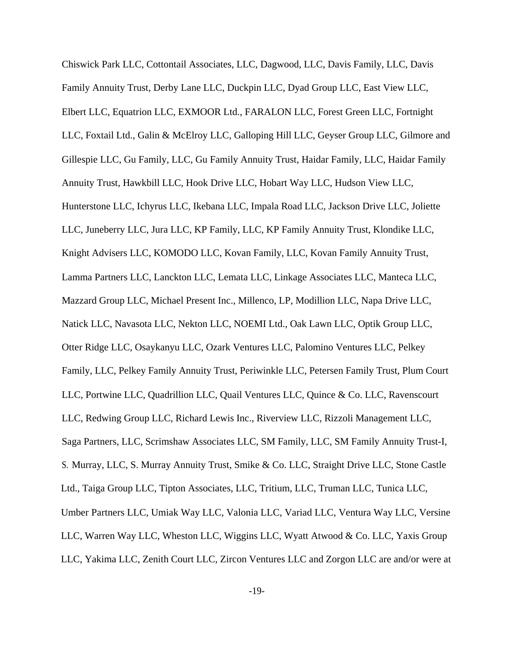Chiswick Park LLC, Cottontail Associates, LLC, Dagwood, LLC, Davis Family, LLC, Davis Family Annuity Trust, Derby Lane LLC, Duckpin LLC, Dyad Group LLC, East View LLC, Elbert LLC, Equatrion LLC, EXMOOR Ltd., FARALON LLC, Forest Green LLC, Fortnight LLC, Foxtail Ltd., Galin & McElroy LLC, Galloping Hill LLC, Geyser Group LLC, Gilmore and Gillespie LLC, Gu Family, LLC, Gu Family Annuity Trust, Haidar Family, LLC, Haidar Family Annuity Trust, Hawkbill LLC, Hook Drive LLC, Hobart Way LLC, Hudson View LLC, Hunterstone LLC, Ichyrus LLC, Ikebana LLC, Impala Road LLC, Jackson Drive LLC, Joliette LLC, Juneberry LLC, Jura LLC, KP Family, LLC, KP Family Annuity Trust, Klondike LLC, Knight Advisers LLC, KOMODO LLC, Kovan Family, LLC, Kovan Family Annuity Trust, Lamma Partners LLC, Lanckton LLC, Lemata LLC, Linkage Associates LLC, Manteca LLC, Mazzard Group LLC, Michael Present Inc., Millenco, LP, Modillion LLC, Napa Drive LLC, Natick LLC, Navasota LLC, Nekton LLC, NOEMI Ltd., Oak Lawn LLC, Optik Group LLC, Otter Ridge LLC, Osaykanyu LLC, Ozark Ventures LLC, Palomino Ventures LLC, Pelkey Family, LLC, Pelkey Family Annuity Trust, Periwinkle LLC, Petersen Family Trust, Plum Court LLC, Portwine LLC, Quadrillion LLC, Quail Ventures LLC, Quince & Co. LLC, Ravenscourt LLC, Redwing Group LLC, Richard Lewis Inc., Riverview LLC, Rizzoli Management LLC, Saga Partners, LLC, Scrimshaw Associates LLC, SM Family, LLC, SM Family Annuity Trust-I, S. Murray, LLC, S. Murray Annuity Trust, Smike & Co. LLC, Straight Drive LLC, Stone Castle Ltd., Taiga Group LLC, Tipton Associates, LLC, Tritium, LLC, Truman LLC, Tunica LLC, Umber Partners LLC, Umiak Way LLC, Valonia LLC, Variad LLC, Ventura Way LLC, Versine LLC, Warren Way LLC, Wheston LLC, Wiggins LLC, Wyatt Atwood & Co. LLC, Yaxis Group LLC, Yakima LLC, Zenith Court LLC, Zircon Ventures LLC and Zorgon LLC are and/or were at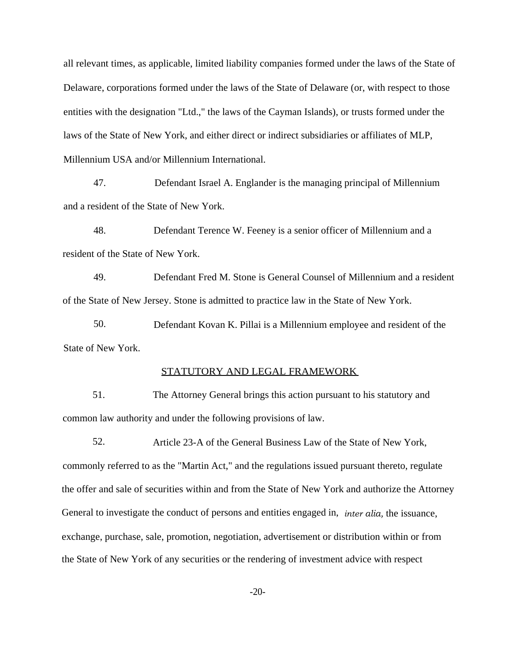all relevant times, as applicable, limited liability companies formed under the laws of the State of Delaware, corporations formed under the laws of the State of Delaware (or, with respect to those entities with the designation "Ltd.," the laws of the Cayman Islands), or trusts formed under the laws of the State of New York, and either direct or indirect subsidiaries or affiliates of MLP, Millennium USA and/or Millennium International.

47. Defendant Israel A. Englander is the managing principal of Millennium and a resident of the State of New York.

48. Defendant Terence W. Feeney is a senior officer of Millennium and a resident of the State of New York.

49. Defendant Fred M. Stone is General Counsel of Millennium and a resident of the State of New Jersey. Stone is admitted to practice law in the State of New York.

50. Defendant Kovan K. Pillai is a Millennium employee and resident of the State of New York.

# STATUTORY AND LEGAL FRAMEWORK

51. The Attorney General brings this action pursuant to his statutory and common law authority and under the following provisions of law.

52. Article 23-A of the General Business Law of the State of New York, commonly referred to as the "Martin Act," and the regulations issued pursuant thereto, regulate the offer and sale of securities within and from the State of New York and authorize the Attorney General to investigate the conduct of persons and entities engaged in, *inter alia,* the issuance, exchange, purchase, sale, promotion, negotiation, advertisement or distribution within or from the State of New York of any securities or the rendering of investment advice with respect

-20-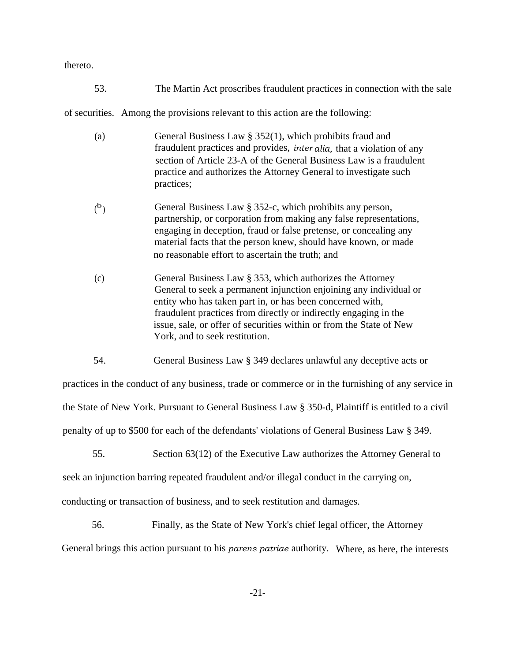thereto.

53. The Martin Act proscribes fraudulent practices in connection with the sale

of securities. Among the provisions relevant to this action are the following:

- (a) General Business Law § 352(1), which prohibits fraud and fraudulent practices and provides, *inter alia,* that a violation of any section of Article 23-A of the General Business Law is a fraudulent practice and authorizes the Attorney General to investigate such practices;
- ( b ) General Business Law § 352-c, which prohibits any person, partnership, or corporation from making any false representations, engaging in deception, fraud or false pretense, or concealing any material facts that the person knew, should have known, or made no reasonable effort to ascertain the truth; and
- (c) General Business Law § 353, which authorizes the Attorney General to seek a permanent injunction enjoining any individual or entity who has taken part in, or has been concerned with, fraudulent practices from directly or indirectly engaging in the issue, sale, or offer of securities within or from the State of New York, and to seek restitution.
- 54. General Business Law § 349 declares unlawful any deceptive acts or

practices in the conduct of any business, trade or commerce or in the furnishing of any service in the State of New York. Pursuant to General Business Law § 350-d, Plaintiff is entitled to a civil penalty of up to \$500 for each of the defendants' violations of General Business Law § 349.

55. Section 63(12) of the Executive Law authorizes the Attorney General to

seek an injunction barring repeated fraudulent and/or illegal conduct in the carrying on,

conducting or transaction of business, and to seek restitution and damages.

56. Finally, as the State of New York's chief legal officer, the Attorney General brings this action pursuant to his *parens patriae* authority. Where, as here, the interests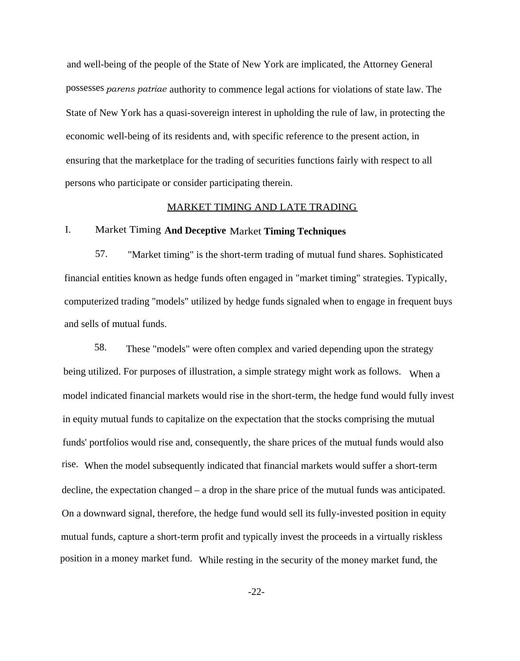and well-being of the people of the State of New York are implicated, the Attorney General possesses *parens patriae* authority to commence legal actions for violations of state law. The State of New York has a quasi-sovereign interest in upholding the rule of law, in protecting the economic well-being of its residents and, with specific reference to the present action, in ensuring that the marketplace for the trading of securities functions fairly with respect to all persons who participate or consider participating therein.

## MARKET TIMING AND LATE TRADING

# I. Market Timing **And Deceptive** Market **Timing Techniques**

57. "Market timing" is the short-term trading of mutual fund shares. Sophisticated financial entities known as hedge funds often engaged in "market timing" strategies. Typically, computerized trading "models" utilized by hedge funds signaled when to engage in frequent buys and sells of mutual funds.

58. These "models" were often complex and varied depending upon the strategy being utilized. For purposes of illustration, a simple strategy might work as follows. When a model indicated financial markets would rise in the short-term, the hedge fund would fully invest in equity mutual funds to capitalize on the expectation that the stocks comprising the mutual funds' portfolios would rise and, consequently, the share prices of the mutual funds would also rise. When the model subsequently indicated that financial markets would suffer a short-term decline, the expectation changed – a drop in the share price of the mutual funds was anticipated. On a downward signal, therefore, the hedge fund would sell its fully-invested position in equity mutual funds, capture a short-term profit and typically invest the proceeds in a virtually riskless position in a money market fund. While resting in the security of the money market fund, the

-22-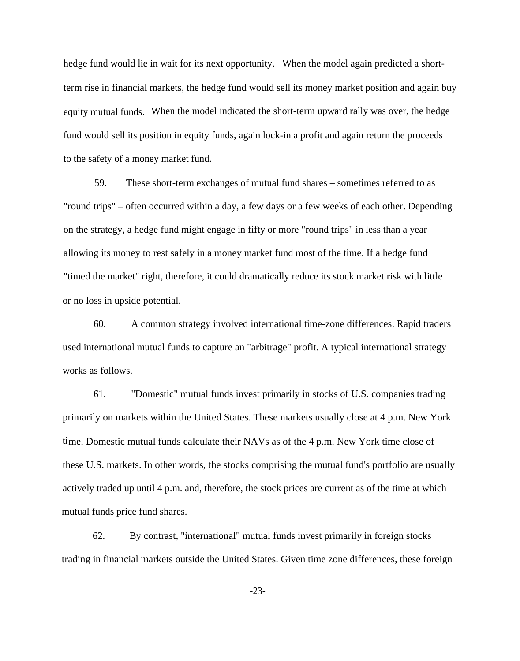hedge fund would lie in wait for its next opportunity. When the model again predicted a shortterm rise in financial markets, the hedge fund would sell its money market position and again buy equity mutual funds. When the model indicated the short-term upward rally was over, the hedge fund would sell its position in equity funds, again lock-in a profit and again return the proceeds to the safety of a money market fund.

59. These short-term exchanges of mutual fund shares – sometimes referred to as "round trips" – often occurred within a day, a few days or a few weeks of each other. Depending on the strategy, a hedge fund might engage in fifty or more "round trips" in less than a year allowing its money to rest safely in a money market fund most of the time. If a hedge fund "timed the market" right, therefore, it could dramatically reduce its stock market risk with little or no loss in upside potential.

60. A common strategy involved international time-zone differences. Rapid traders used international mutual funds to capture an "arbitrage" profit. A typical international strategy works as follows.

61. "Domestic" mutual funds invest primarily in stocks of U.S. companies trading primarily on markets within the United States. These markets usually close at 4 p.m. New York time. Domestic mutual funds calculate their NAVs as of the 4 p.m. New York time close of these U.S. markets. In other words, the stocks comprising the mutual fund's portfolio are usually actively traded up until 4 p.m. and, therefore, the stock prices are current as of the time at which mutual funds price fund shares.

62. By contrast, "international" mutual funds invest primarily in foreign stocks trading in financial markets outside the United States. Given time zone differences, these foreign

-23-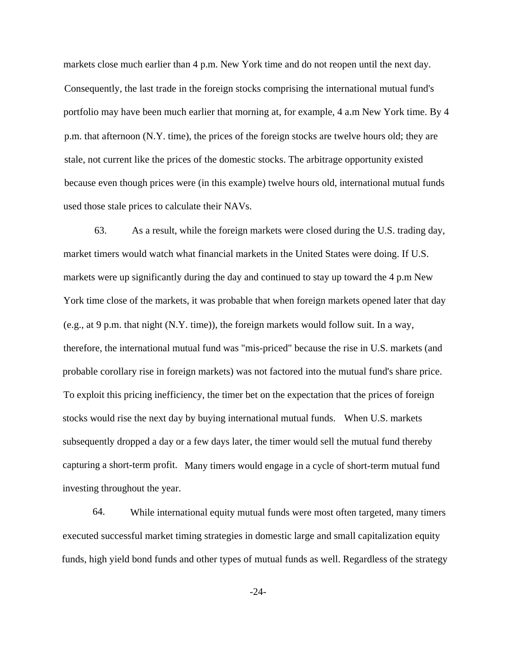markets close much earlier than 4 p.m. New York time and do not reopen until the next day. Consequently, the last trade in the foreign stocks comprising the international mutual fund's portfolio may have been much earlier that morning at, for example, 4 a.m New York time. By 4 p.m. that afternoon (N.Y. time), the prices of the foreign stocks are twelve hours old; they are stale, not current like the prices of the domestic stocks. The arbitrage opportunity existed because even though prices were (in this example) twelve hours old, international mutual funds used those stale prices to calculate their NAVs.

63. As a result, while the foreign markets were closed during the U.S. trading day, market timers would watch what financial markets in the United States were doing. If U.S. markets were up significantly during the day and continued to stay up toward the 4 p.m New York time close of the markets, it was probable that when foreign markets opened later that day (e.g., at 9 p.m. that night (N.Y. time)), the foreign markets would follow suit. In a way, therefore, the international mutual fund was "mis-priced" because the rise in U.S. markets (and probable corollary rise in foreign markets) was not factored into the mutual fund's share price. To exploit this pricing inefficiency, the timer bet on the expectation that the prices of foreign stocks would rise the next day by buying international mutual funds. When U.S. markets subsequently dropped a day or a few days later, the timer would sell the mutual fund thereby capturing a short-term profit. Many timers would engage in a cycle of short-term mutual fund investing throughout the year.

64. While international equity mutual funds were most often targeted, many timers executed successful market timing strategies in domestic large and small capitalization equity funds, high yield bond funds and other types of mutual funds as well. Regardless of the strategy

-24-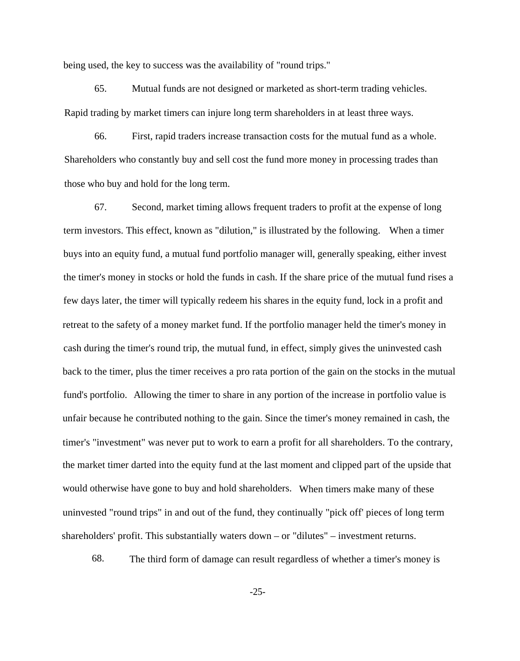being used, the key to success was the availability of "round trips."

65. Mutual funds are not designed or marketed as short-term trading vehicles. Rapid trading by market timers can injure long term shareholders in at least three ways.

66. First, rapid traders increase transaction costs for the mutual fund as a whole. Shareholders who constantly buy and sell cost the fund more money in processing trades than those who buy and hold for the long term.

67. Second, market timing allows frequent traders to profit at the expense of long term investors. This effect, known as "dilution," is illustrated by the following. When a timer buys into an equity fund, a mutual fund portfolio manager will, generally speaking, either invest the timer's money in stocks or hold the funds in cash. If the share price of the mutual fund rises a few days later, the timer will typically redeem his shares in the equity fund, lock in a profit and retreat to the safety of a money market fund. If the portfolio manager held the timer's money in cash during the timer's round trip, the mutual fund, in effect, simply gives the uninvested cash back to the timer, plus the timer receives a pro rata portion of the gain on the stocks in the mutual fund's portfolio. Allowing the timer to share in any portion of the increase in portfolio value is unfair because he contributed nothing to the gain. Since the timer's money remained in cash, the timer's "investment" was never put to work to earn a profit for all shareholders. To the contrary, the market timer darted into the equity fund at the last moment and clipped part of the upside that would otherwise have gone to buy and hold shareholders. When timers make many of these uninvested "round trips" in and out of the fund, they continually "pick off' pieces of long term shareholders' profit. This substantially waters down – or "dilutes" – investment returns.

68. The third form of damage can result regardless of whether a timer's money is

-25-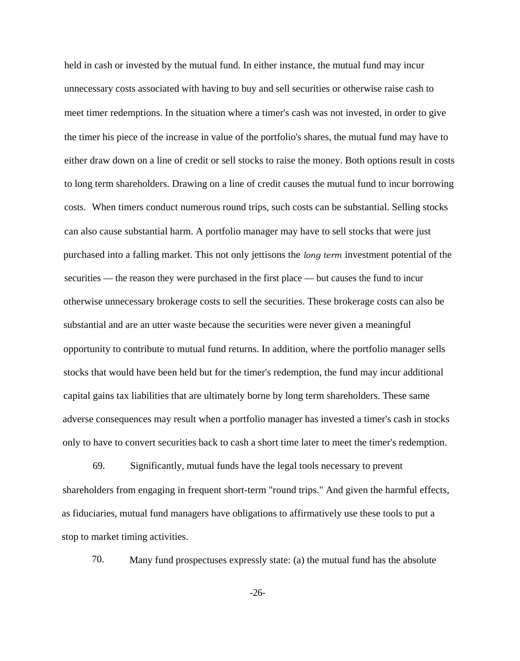held in cash or invested by the mutual fund. In either instance, the mutual fund may incur unnecessary costs associated with having to buy and sell securities or otherwise raise cash to meet timer redemptions. In the situation where a timer's cash was not invested, in order to give the timer his piece of the increase in value of the portfolio's shares, the mutual fund may have to either draw down on a line of credit or sell stocks to raise the money. Both options result in costs to long term shareholders. Drawing on a line of credit causes the mutual fund to incur borrowing costs. When timers conduct numerous round trips, such costs can be substantial. Selling stocks can also cause substantial harm. A portfolio manager may have to sell stocks that were just purchased into a falling market. This not only jettisons the *long term* investment potential of the securities — the reason they were purchased in the first place — but causes the fund to incur otherwise unnecessary brokerage costs to sell the securities. These brokerage costs can also be substantial and are an utter waste because the securities were never given a meaningful opportunity to contribute to mutual fund returns. In addition, where the portfolio manager sells stocks that would have been held but for the timer's redemption, the fund may incur additional capital gains tax liabilities that are ultimately borne by long term shareholders. These same adverse consequences may result when a portfolio manager has invested a timer's cash in stocks only to have to convert securities back to cash a short time later to meet the timer's redemption.

69. Significantly, mutual funds have the legal tools necessary to prevent shareholders from engaging in frequent short-term "round trips." And given the harmful effects, as fiduciaries, mutual fund managers have obligations to affirmatively use these tools to put a stop to market timing activities.

70. Many fund prospectuses expressly state: (a) the mutual fund has the absolute

-26-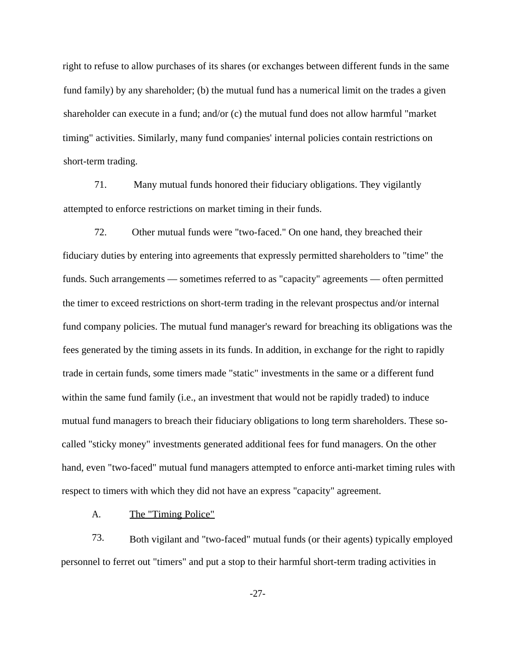right to refuse to allow purchases of its shares (or exchanges between different funds in the same fund family) by any shareholder; (b) the mutual fund has a numerical limit on the trades a given shareholder can execute in a fund; and/or (c) the mutual fund does not allow harmful "market timing" activities. Similarly, many fund companies' internal policies contain restrictions on short-term trading.

71. Many mutual funds honored their fiduciary obligations. They vigilantly attempted to enforce restrictions on market timing in their funds.

72. Other mutual funds were "two-faced." On one hand, they breached their fiduciary duties by entering into agreements that expressly permitted shareholders to "time" the funds. Such arrangements — sometimes referred to as "capacity" agreements — often permitted the timer to exceed restrictions on short-term trading in the relevant prospectus and/or internal fund company policies. The mutual fund manager's reward for breaching its obligations was the fees generated by the timing assets in its funds. In addition, in exchange for the right to rapidly trade in certain funds, some timers made "static" investments in the same or a different fund within the same fund family (i.e., an investment that would not be rapidly traded) to induce mutual fund managers to breach their fiduciary obligations to long term shareholders. These socalled "sticky money" investments generated additional fees for fund managers. On the other hand, even "two-faced" mutual fund managers attempted to enforce anti-market timing rules with respect to timers with which they did not have an express "capacity" agreement.

A. The "Timing Police"

73. Both vigilant and "two-faced" mutual funds (or their agents) typically employed personnel to ferret out "timers" and put a stop to their harmful short-term trading activities in

-27-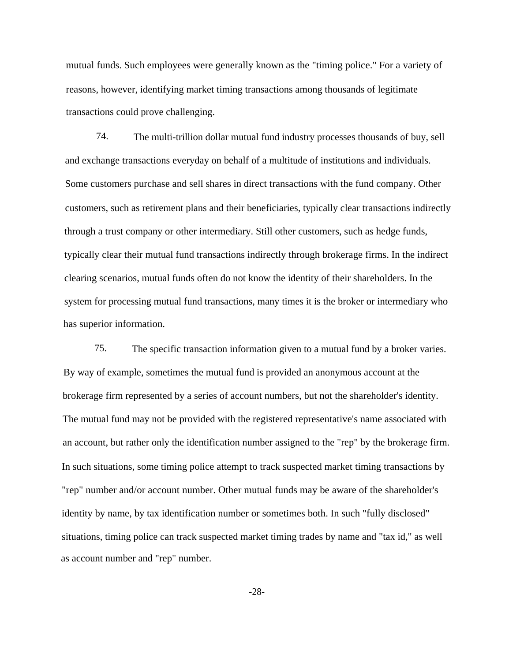mutual funds. Such employees were generally known as the "timing police." For a variety of reasons, however, identifying market timing transactions among thousands of legitimate transactions could prove challenging.

74. The multi-trillion dollar mutual fund industry processes thousands of buy, sell and exchange transactions everyday on behalf of a multitude of institutions and individuals. Some customers purchase and sell shares in direct transactions with the fund company. Other customers, such as retirement plans and their beneficiaries, typically clear transactions indirectly through a trust company or other intermediary. Still other customers, such as hedge funds, typically clear their mutual fund transactions indirectly through brokerage firms. In the indirect clearing scenarios, mutual funds often do not know the identity of their shareholders. In the system for processing mutual fund transactions, many times it is the broker or intermediary who has superior information.

75. The specific transaction information given to a mutual fund by a broker varies. By way of example, sometimes the mutual fund is provided an anonymous account at the brokerage firm represented by a series of account numbers, but not the shareholder's identity. The mutual fund may not be provided with the registered representative's name associated with an account, but rather only the identification number assigned to the "rep" by the brokerage firm. In such situations, some timing police attempt to track suspected market timing transactions by "rep" number and/or account number. Other mutual funds may be aware of the shareholder's identity by name, by tax identification number or sometimes both. In such "fully disclosed" situations, timing police can track suspected market timing trades by name and "tax id," as well as account number and "rep" number.

-28-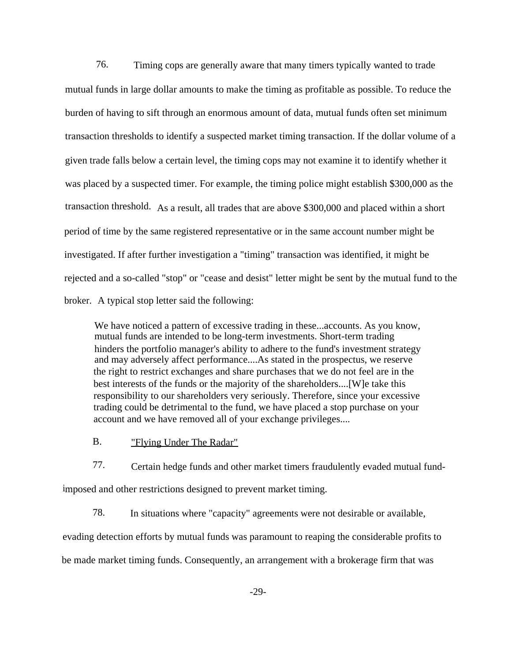76. Timing cops are generally aware that many timers typically wanted to trade mutual funds in large dollar amounts to make the timing as profitable as possible. To reduce the burden of having to sift through an enormous amount of data, mutual funds often set minimum transaction thresholds to identify a suspected market timing transaction. If the dollar volume of a given trade falls below a certain level, the timing cops may not examine it to identify whether it was placed by a suspected timer. For example, the timing police might establish \$300,000 as the transaction threshold. As a result, all trades that are above \$300,000 and placed within a short period of time by the same registered representative or in the same account number might be investigated. If after further investigation a "timing" transaction was identified, it might be rejected and a so-called "stop" or "cease and desist" letter might be sent by the mutual fund to the broker. A typical stop letter said the following:

We have noticed a pattern of excessive trading in these...accounts. As you know, mutual funds are intended to be long-term investments. Short-term trading hinders the portfolio manager's ability to adhere to the fund's investment strategy and may adversely affect performance....As stated in the prospectus, we reserve the right to restrict exchanges and share purchases that we do not feel are in the best interests of the funds or the majority of the shareholders....[W]e take this responsibility to our shareholders very seriously. Therefore, since your excessive trading could be detrimental to the fund, we have placed a stop purchase on your account and we have removed all of your exchange privileges....

B. "Flying Under The Radar"

77. Certain hedge funds and other market timers fraudulently evaded mutual fundimposed and other restrictions designed to prevent market timing.

78. In situations where "capacity" agreements were not desirable or available,

evading detection efforts by mutual funds was paramount to reaping the considerable profits to be made market timing funds. Consequently, an arrangement with a brokerage firm that was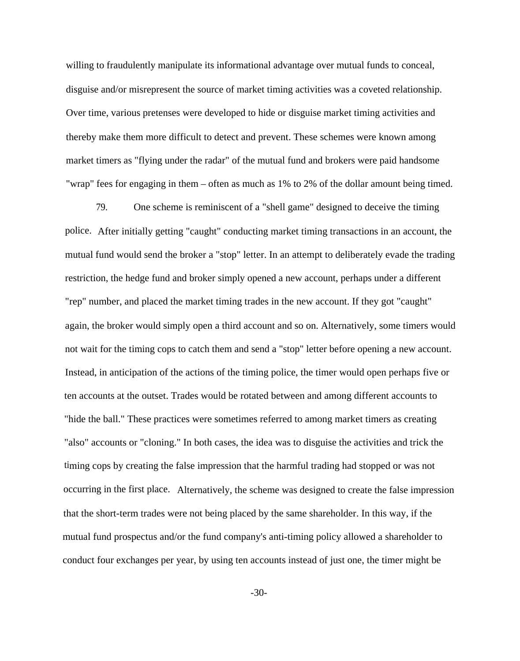willing to fraudulently manipulate its informational advantage over mutual funds to conceal, disguise and/or misrepresent the source of market timing activities was a coveted relationship. Over time, various pretenses were developed to hide or disguise market timing activities and thereby make them more difficult to detect and prevent. These schemes were known among market timers as "flying under the radar" of the mutual fund and brokers were paid handsome "wrap" fees for engaging in them – often as much as 1% to 2% of the dollar amount being timed.

79. One scheme is reminiscent of a "shell game" designed to deceive the timing police. After initially getting "caught" conducting market timing transactions in an account, the mutual fund would send the broker a "stop" letter. In an attempt to deliberately evade the trading restriction, the hedge fund and broker simply opened a new account, perhaps under a different "rep" number, and placed the market timing trades in the new account. If they got "caught" again, the broker would simply open a third account and so on. Alternatively, some timers would not wait for the timing cops to catch them and send a "stop" letter before opening a new account. Instead, in anticipation of the actions of the timing police, the timer would open perhaps five or ten accounts at the outset. Trades would be rotated between and among different accounts to "hide the ball." These practices were sometimes referred to among market timers as creating "also" accounts or "cloning." In both cases, the idea was to disguise the activities and trick the timing cops by creating the false impression that the harmful trading had stopped or was not occurring in the first place. Alternatively, the scheme was designed to create the false impression that the short-term trades were not being placed by the same shareholder. In this way, if the mutual fund prospectus and/or the fund company's anti-timing policy allowed a shareholder to conduct four exchanges per year, by using ten accounts instead of just one, the timer might be

-30-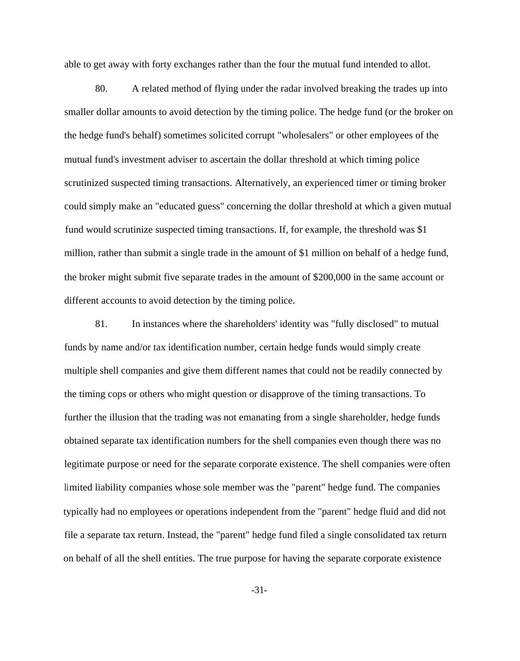able to get away with forty exchanges rather than the four the mutual fund intended to allot.

80. A related method of flying under the radar involved breaking the trades up into smaller dollar amounts to avoid detection by the timing police. The hedge fund (or the broker on the hedge fund's behalf) sometimes solicited corrupt "wholesalers" or other employees of the mutual fund's investment adviser to ascertain the dollar threshold at which timing police scrutinized suspected timing transactions. Alternatively, an experienced timer or timing broker could simply make an "educated guess" concerning the dollar threshold at which a given mutual fund would scrutinize suspected timing transactions. If, for example, the threshold was \$1 million, rather than submit a single trade in the amount of \$1 million on behalf of a hedge fund, the broker might submit five separate trades in the amount of \$200,000 in the same account or different accounts to avoid detection by the timing police.

81. In instances where the shareholders' identity was "fully disclosed" to mutual funds by name and/or tax identification number, certain hedge funds would simply create multiple shell companies and give them different names that could not be readily connected by the timing cops or others who might question or disapprove of the timing transactions. To further the illusion that the trading was not emanating from a single shareholder, hedge funds obtained separate tax identification numbers for the shell companies even though there was no legitimate purpose or need for the separate corporate existence. The shell companies were often limited liability companies whose sole member was the "parent" hedge fund. The companies typically had no employees or operations independent from the "parent" hedge fluid and did not file a separate tax return. Instead, the "parent" hedge fund filed a single consolidated tax return on behalf of all the shell entities. The true purpose for having the separate corporate existence

-31-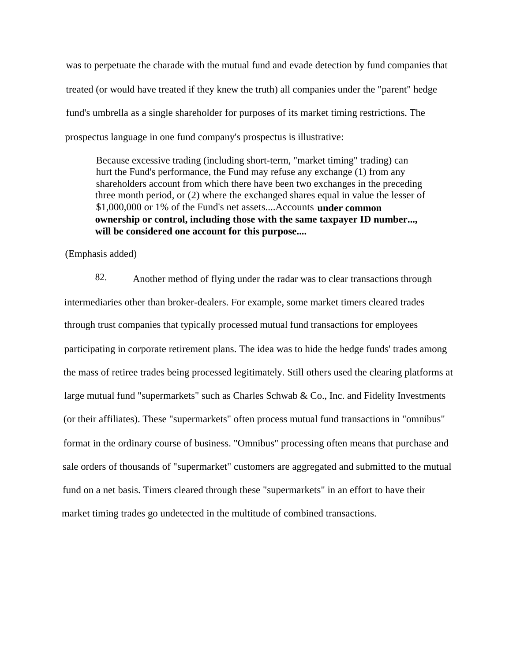was to perpetuate the charade with the mutual fund and evade detection by fund companies that treated (or would have treated if they knew the truth) all companies under the "parent" hedge fund's umbrella as a single shareholder for purposes of its market timing restrictions. The prospectus language in one fund company's prospectus is illustrative:

Because excessive trading (including short-term, "market timing" trading) can hurt the Fund's performance, the Fund may refuse any exchange (1) from any shareholders account from which there have been two exchanges in the preceding three month period, or (2) where the exchanged shares equal in value the lesser of \$1,000,000 or 1% of the Fund's net assets....Accounts **under common ownership or control, including those with the same taxpayer ID number..., will be considered one account for this purpose....**

(Emphasis added)

82. Another method of flying under the radar was to clear transactions through intermediaries other than broker-dealers. For example, some market timers cleared trades through trust companies that typically processed mutual fund transactions for employees participating in corporate retirement plans. The idea was to hide the hedge funds' trades among the mass of retiree trades being processed legitimately. Still others used the clearing platforms at large mutual fund "supermarkets" such as Charles Schwab & Co., Inc. and Fidelity Investments (or their affiliates). These "supermarkets" often process mutual fund transactions in "omnibus" format in the ordinary course of business. "Omnibus" processing often means that purchase and sale orders of thousands of "supermarket" customers are aggregated and submitted to the mutual fund on a net basis. Timers cleared through these "supermarkets" in an effort to have their market timing trades go undetected in the multitude of combined transactions.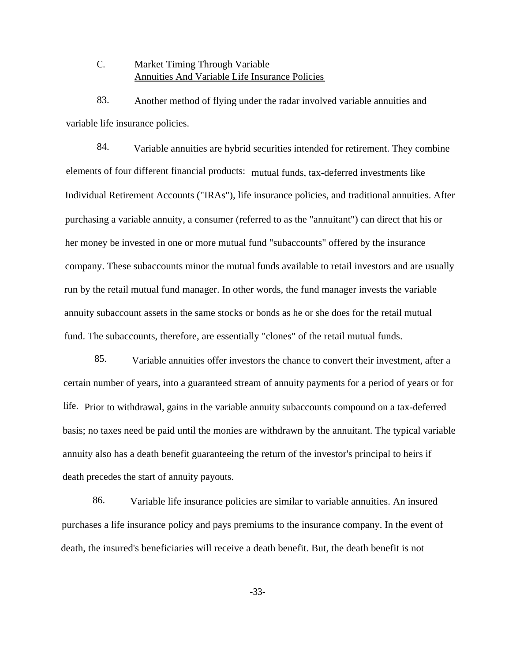# C. Market Timing Through Variable Annuities And Variable Life Insurance Policies

83. Another method of flying under the radar involved variable annuities and variable life insurance policies.

84. Variable annuities are hybrid securities intended for retirement. They combine elements of four different financial products: mutual funds, tax-deferred investments like Individual Retirement Accounts ("IRAs"), life insurance policies, and traditional annuities. After purchasing a variable annuity, a consumer (referred to as the "annuitant") can direct that his or her money be invested in one or more mutual fund "subaccounts" offered by the insurance company. These subaccounts minor the mutual funds available to retail investors and are usually run by the retail mutual fund manager. In other words, the fund manager invests the variable annuity subaccount assets in the same stocks or bonds as he or she does for the retail mutual fund. The subaccounts, therefore, are essentially "clones" of the retail mutual funds.

85. Variable annuities offer investors the chance to convert their investment, after a certain number of years, into a guaranteed stream of annuity payments for a period of years or for life. Prior to withdrawal, gains in the variable annuity subaccounts compound on a tax-deferred basis; no taxes need be paid until the monies are withdrawn by the annuitant. The typical variable annuity also has a death benefit guaranteeing the return of the investor's principal to heirs if death precedes the start of annuity payouts.

86. Variable life insurance policies are similar to variable annuities. An insured purchases a life insurance policy and pays premiums to the insurance company. In the event of death, the insured's beneficiaries will receive a death benefit. But, the death benefit is not

-33-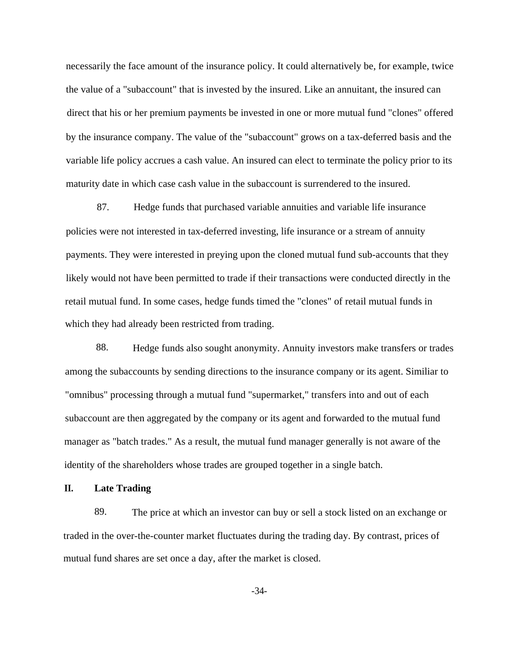necessarily the face amount of the insurance policy. It could alternatively be, for example, twice the value of a "subaccount" that is invested by the insured. Like an annuitant, the insured can direct that his or her premium payments be invested in one or more mutual fund "clones" offered by the insurance company. The value of the "subaccount" grows on a tax-deferred basis and the variable life policy accrues a cash value. An insured can elect to terminate the policy prior to its maturity date in which case cash value in the subaccount is surrendered to the insured.

87. Hedge funds that purchased variable annuities and variable life insurance policies were not interested in tax-deferred investing, life insurance or a stream of annuity payments. They were interested in preying upon the cloned mutual fund sub-accounts that they likely would not have been permitted to trade if their transactions were conducted directly in the retail mutual fund. In some cases, hedge funds timed the "clones" of retail mutual funds in which they had already been restricted from trading.

88. Hedge funds also sought anonymity. Annuity investors make transfers or trades among the subaccounts by sending directions to the insurance company or its agent. Similiar to "omnibus" processing through a mutual fund "supermarket," transfers into and out of each subaccount are then aggregated by the company or its agent and forwarded to the mutual fund manager as "batch trades." As a result, the mutual fund manager generally is not aware of the identity of the shareholders whose trades are grouped together in a single batch.

### **II. Late Trading**

89. The price at which an investor can buy or sell a stock listed on an exchange or traded in the over-the-counter market fluctuates during the trading day. By contrast, prices of mutual fund shares are set once a day, after the market is closed.

-34-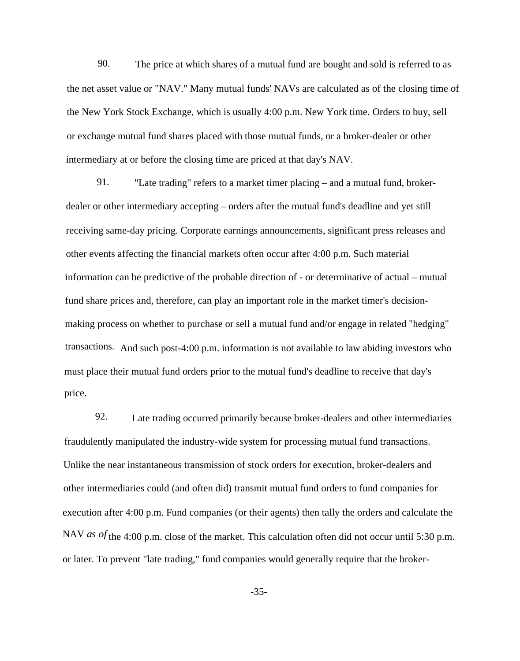90. The price at which shares of a mutual fund are bought and sold is referred to as the net asset value or "NAV." Many mutual funds' NAVs are calculated as of the closing time of the New York Stock Exchange, which is usually 4:00 p.m. New York time. Orders to buy, sell or exchange mutual fund shares placed with those mutual funds, or a broker-dealer or other intermediary at or before the closing time are priced at that day's NAV.

91. "Late trading" refers to a market timer placing – and a mutual fund, brokerdealer or other intermediary accepting – orders after the mutual fund's deadline and yet still receiving same-day pricing. Corporate earnings announcements, significant press releases and other events affecting the financial markets often occur after 4:00 p.m. Such material information can be predictive of the probable direction of - or determinative of actual – mutual fund share prices and, therefore, can play an important role in the market timer's decisionmaking process on whether to purchase or sell a mutual fund and/or engage in related "hedging" transactions. And such post-4:00 p.m. information is not available to law abiding investors who must place their mutual fund orders prior to the mutual fund's deadline to receive that day's price.

92. Late trading occurred primarily because broker-dealers and other intermediaries fraudulently manipulated the industry-wide system for processing mutual fund transactions. Unlike the near instantaneous transmission of stock orders for execution, broker-dealers and other intermediaries could (and often did) transmit mutual fund orders to fund companies for execution after 4:00 p.m. Fund companies (or their agents) then tally the orders and calculate the NAV *as of* the 4:00 p.m. close of the market. This calculation often did not occur until 5:30 p.m. or later. To prevent "late trading," fund companies would generally require that the broker-

-35-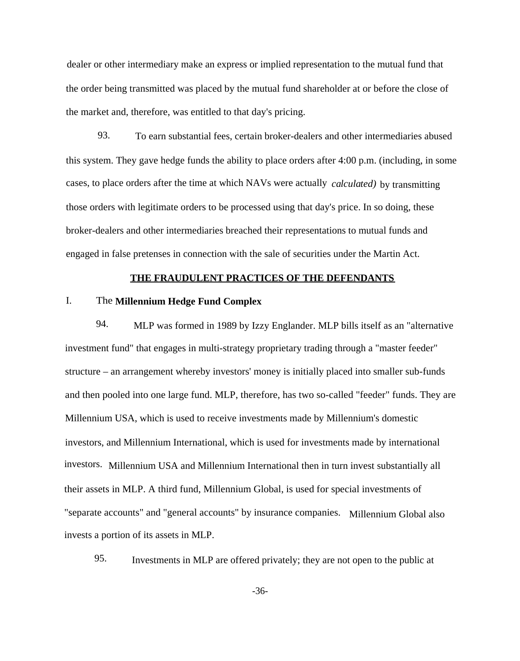dealer or other intermediary make an express or implied representation to the mutual fund that the order being transmitted was placed by the mutual fund shareholder at or before the close of the market and, therefore, was entitled to that day's pricing.

93. To earn substantial fees, certain broker-dealers and other intermediaries abused this system. They gave hedge funds the ability to place orders after 4:00 p.m. (including, in some cases, to place orders after the time at which NAVs were actually *calculated)* by transmitting those orders with legitimate orders to be processed using that day's price. In so doing, these broker-dealers and other intermediaries breached their representations to mutual funds and engaged in false pretenses in connection with the sale of securities under the Martin Act.

#### **THE FRAUDULENT PRACTICES OF THE DEFENDANTS**

## I. The **Millennium Hedge Fund Complex**

94. MLP was formed in 1989 by Izzy Englander. MLP bills itself as an "alternative investment fund" that engages in multi-strategy proprietary trading through a "master feeder" structure – an arrangement whereby investors' money is initially placed into smaller sub-funds and then pooled into one large fund. MLP, therefore, has two so-called "feeder" funds. They are Millennium USA, which is used to receive investments made by Millennium's domestic investors, and Millennium International, which is used for investments made by international investors. Millennium USA and Millennium International then in turn invest substantially all their assets in MLP. A third fund, Millennium Global, is used for special investments of "separate accounts" and "general accounts" by insurance companies. Millennium Global also invests a portion of its assets in MLP.

95. Investments in MLP are offered privately; they are not open to the public at

-36-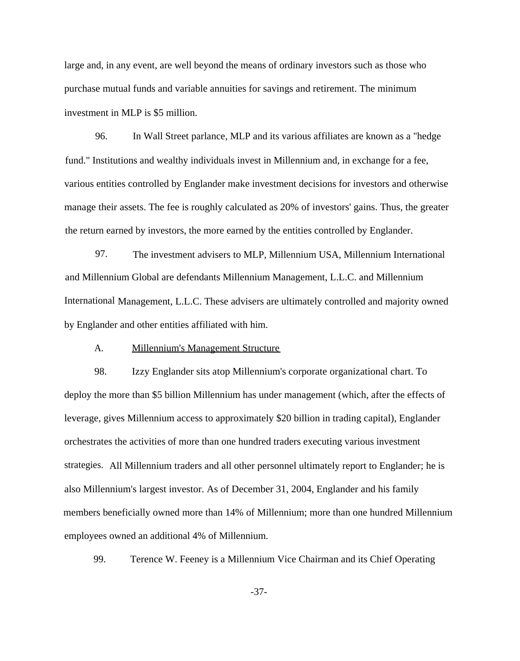large and, in any event, are well beyond the means of ordinary investors such as those who purchase mutual funds and variable annuities for savings and retirement. The minimum investment in MLP is \$5 million.

96. In Wall Street parlance, MLP and its various affiliates are known as a "hedge fund." Institutions and wealthy individuals invest in Millennium and, in exchange for a fee, various entities controlled by Englander make investment decisions for investors and otherwise manage their assets. The fee is roughly calculated as 20% of investors' gains. Thus, the greater the return earned by investors, the more earned by the entities controlled by Englander.

97. The investment advisers to MLP, Millennium USA, Millennium International and Millennium Global are defendants Millennium Management, L.L.C. and Millennium International Management, L.L.C. These advisers are ultimately controlled and majority owned by Englander and other entities affiliated with him.

#### A. Millennium's Management Structure

98. Izzy Englander sits atop Millennium's corporate organizational chart. To deploy the more than \$5 billion Millennium has under management (which, after the effects of leverage, gives Millennium access to approximately \$20 billion in trading capital), Englander orchestrates the activities of more than one hundred traders executing various investment strategies. All Millennium traders and all other personnel ultimately report to Englander; he is also Millennium's largest investor. As of December 31, 2004, Englander and his family members beneficially owned more than 14% of Millennium; more than one hundred Millennium employees owned an additional 4% of Millennium.

99. Terence W. Feeney is a Millennium Vice Chairman and its Chief Operating

-37-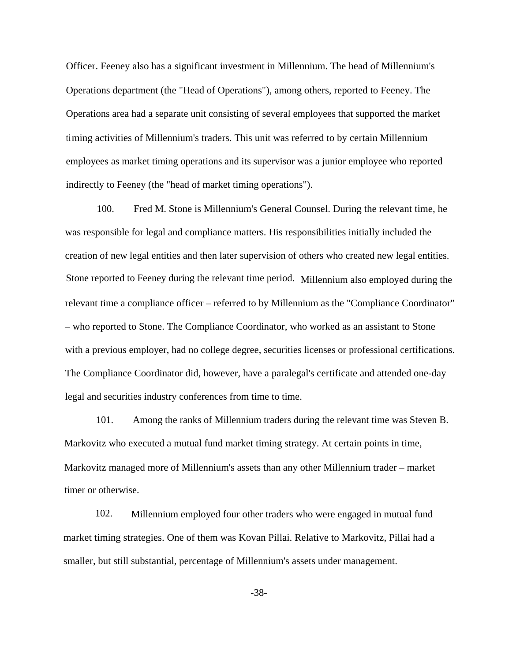Officer. Feeney also has a significant investment in Millennium. The head of Millennium's Operations department (the "Head of Operations"), among others, reported to Feeney. The Operations area had a separate unit consisting of several employees that supported the market timing activities of Millennium's traders. This unit was referred to by certain Millennium employees as market timing operations and its supervisor was a junior employee who reported indirectly to Feeney (the "head of market timing operations").

100. Fred M. Stone is Millennium's General Counsel. During the relevant time, he was responsible for legal and compliance matters. His responsibilities initially included the creation of new legal entities and then later supervision of others who created new legal entities. Stone reported to Feeney during the relevant time period. Millennium also employed during the relevant time a compliance officer – referred to by Millennium as the "Compliance Coordinator" – who reported to Stone. The Compliance Coordinator, who worked as an assistant to Stone with a previous employer, had no college degree, securities licenses or professional certifications. The Compliance Coordinator did, however, have a paralegal's certificate and attended one-day legal and securities industry conferences from time to time.

101. Among the ranks of Millennium traders during the relevant time was Steven B. Markovitz who executed a mutual fund market timing strategy. At certain points in time, Markovitz managed more of Millennium's assets than any other Millennium trader – market timer or otherwise.

102. Millennium employed four other traders who were engaged in mutual fund market timing strategies. One of them was Kovan Pillai. Relative to Markovitz, Pillai had a smaller, but still substantial, percentage of Millennium's assets under management.

-38-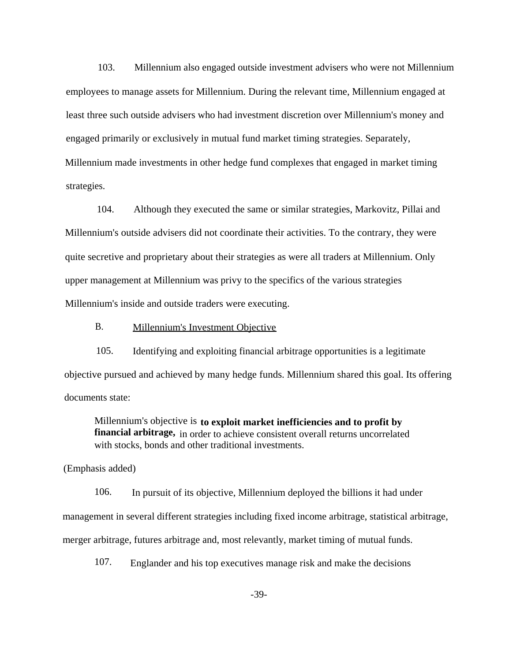103. Millennium also engaged outside investment advisers who were not Millennium employees to manage assets for Millennium. During the relevant time, Millennium engaged at least three such outside advisers who had investment discretion over Millennium's money and engaged primarily or exclusively in mutual fund market timing strategies. Separately, Millennium made investments in other hedge fund complexes that engaged in market timing strategies.

104. Although they executed the same or similar strategies, Markovitz, Pillai and Millennium's outside advisers did not coordinate their activities. To the contrary, they were quite secretive and proprietary about their strategies as were all traders at Millennium. Only upper management at Millennium was privy to the specifics of the various strategies Millennium's inside and outside traders were executing.

## B. Millennium's Investment Objective

105. Identifying and exploiting financial arbitrage opportunities is a legitimate objective pursued and achieved by many hedge funds. Millennium shared this goal. Its offering documents state:

Millennium's objective is **to exploit market inefficiencies and to profit by financial arbitrage,** in order to achieve consistent overall returns uncorrelated with stocks, bonds and other traditional investments.

(Emphasis added)

106. In pursuit of its objective, Millennium deployed the billions it had under management in several different strategies including fixed income arbitrage, statistical arbitrage, merger arbitrage, futures arbitrage and, most relevantly, market timing of mutual funds.

107. Englander and his top executives manage risk and make the decisions

-39-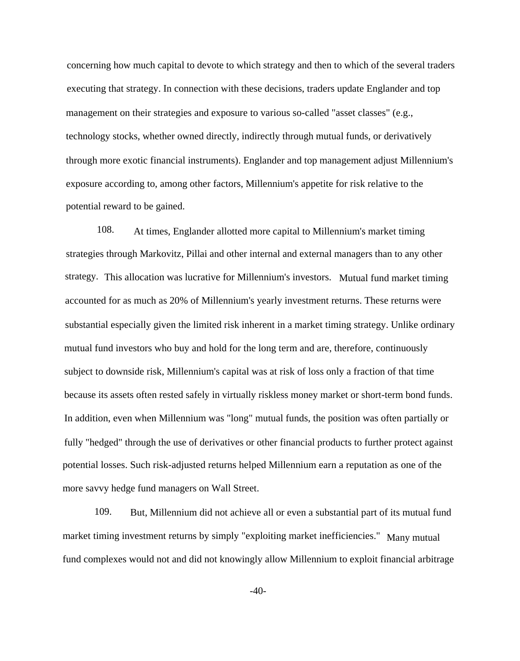concerning how much capital to devote to which strategy and then to which of the several traders executing that strategy. In connection with these decisions, traders update Englander and top management on their strategies and exposure to various so-called "asset classes" (e.g., technology stocks, whether owned directly, indirectly through mutual funds, or derivatively through more exotic financial instruments). Englander and top management adjust Millennium's exposure according to, among other factors, Millennium's appetite for risk relative to the potential reward to be gained.

108. At times, Englander allotted more capital to Millennium's market timing strategies through Markovitz, Pillai and other internal and external managers than to any other strategy. This allocation was lucrative for Millennium's investors. Mutual fund market timing accounted for as much as 20% of Millennium's yearly investment returns. These returns were substantial especially given the limited risk inherent in a market timing strategy. Unlike ordinary mutual fund investors who buy and hold for the long term and are, therefore, continuously subject to downside risk, Millennium's capital was at risk of loss only a fraction of that time because its assets often rested safely in virtually riskless money market or short-term bond funds. In addition, even when Millennium was "long" mutual funds, the position was often partially or fully "hedged" through the use of derivatives or other financial products to further protect against potential losses. Such risk-adjusted returns helped Millennium earn a reputation as one of the more savvy hedge fund managers on Wall Street.

109. But, Millennium did not achieve all or even a substantial part of its mutual fund market timing investment returns by simply "exploiting market inefficiencies." Many mutual fund complexes would not and did not knowingly allow Millennium to exploit financial arbitrage

 $-40-$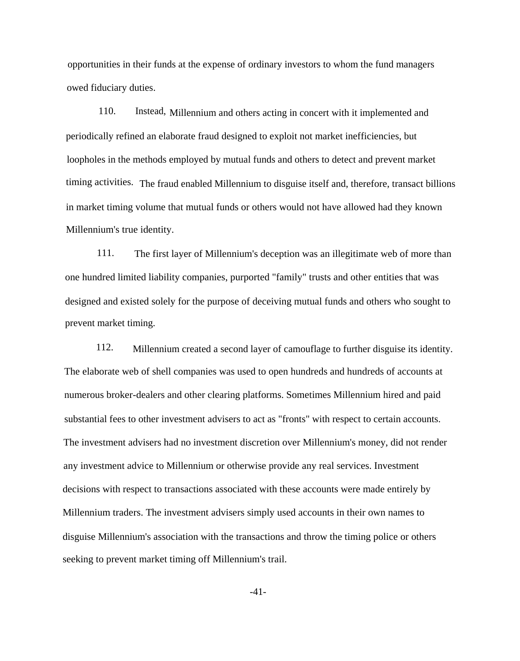opportunities in their funds at the expense of ordinary investors to whom the fund managers owed fiduciary duties.

110. Instead, Millennium and others acting in concert with it implemented and periodically refined an elaborate fraud designed to exploit not market inefficiencies, but loopholes in the methods employed by mutual funds and others to detect and prevent market timing activities. The fraud enabled Millennium to disguise itself and, therefore, transact billions in market timing volume that mutual funds or others would not have allowed had they known Millennium's true identity.

111. The first layer of Millennium's deception was an illegitimate web of more than one hundred limited liability companies, purported "family" trusts and other entities that was designed and existed solely for the purpose of deceiving mutual funds and others who sought to prevent market timing.

112. Millennium created a second layer of camouflage to further disguise its identity. The elaborate web of shell companies was used to open hundreds and hundreds of accounts at numerous broker-dealers and other clearing platforms. Sometimes Millennium hired and paid substantial fees to other investment advisers to act as "fronts" with respect to certain accounts. The investment advisers had no investment discretion over Millennium's money, did not render any investment advice to Millennium or otherwise provide any real services. Investment decisions with respect to transactions associated with these accounts were made entirely by Millennium traders. The investment advisers simply used accounts in their own names to disguise Millennium's association with the transactions and throw the timing police or others seeking to prevent market timing off Millennium's trail.

-41-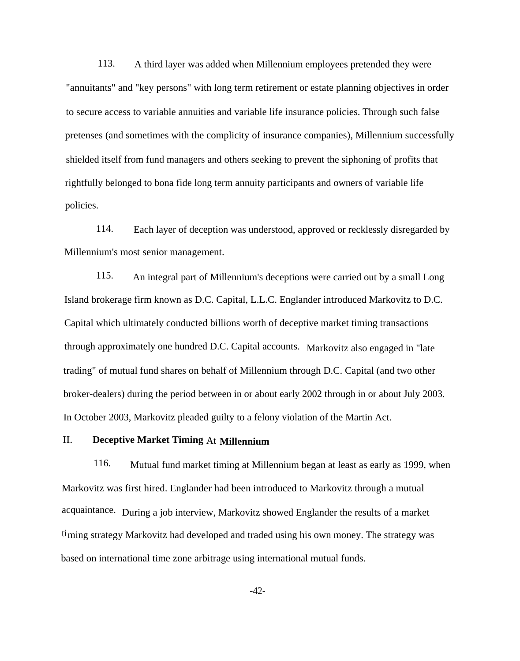113. A third layer was added when Millennium employees pretended they were "annuitants" and "key persons" with long term retirement or estate planning objectives in order to secure access to variable annuities and variable life insurance policies. Through such false pretenses (and sometimes with the complicity of insurance companies), Millennium successfully shielded itself from fund managers and others seeking to prevent the siphoning of profits that rightfully belonged to bona fide long term annuity participants and owners of variable life policies.

114. Each layer of deception was understood, approved or recklessly disregarded by Millennium's most senior management.

115. An integral part of Millennium's deceptions were carried out by a small Long Island brokerage firm known as D.C. Capital, L.L.C. Englander introduced Markovitz to D.C. Capital which ultimately conducted billions worth of deceptive market timing transactions through approximately one hundred D.C. Capital accounts. Markovitz also engaged in "late trading" of mutual fund shares on behalf of Millennium through D.C. Capital (and two other broker-dealers) during the period between in or about early 2002 through in or about July 2003. In October 2003, Markovitz pleaded guilty to a felony violation of the Martin Act.

# II. **Deceptive Market Timing** At **Millennium**

116. Mutual fund market timing at Millennium began at least as early as 1999, when Markovitz was first hired. Englander had been introduced to Markovitz through a mutual acquaintance. During a job interview, Markovitz showed Englander the results of a market timing strategy Markovitz had developed and traded using his own money. The strategy was based on international time zone arbitrage using international mutual funds.

-42-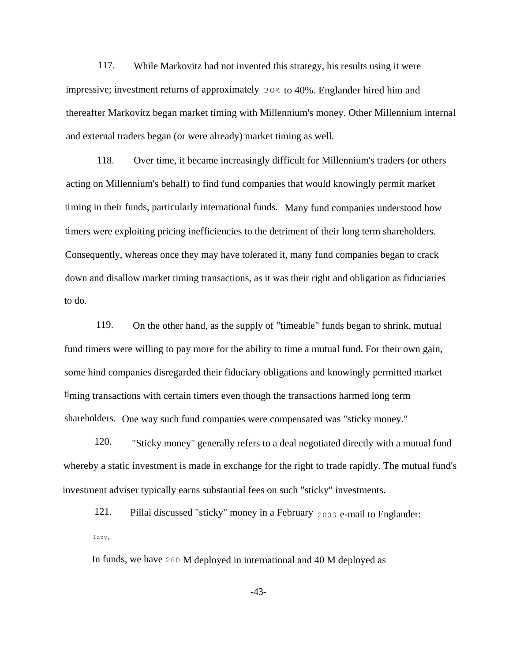117. While Markovitz had not invented this strategy, his results using it were impressive; investment returns of approximately  $30\%$  to 40%. Englander hired him and thereafter Markovitz began market timing with Millennium's money. Other Millennium internal and external traders began (or were already) market timing as well.

118. Over time, it became increasingly difficult for Millennium's traders (or others acting on Millennium's behalf) to find fund companies that would knowingly permit market timing in their funds, particularly international funds. Many fund companies understood how timers were exploiting pricing inefficiencies to the detriment of their long term shareholders. Consequently, whereas once they may have tolerated it, many fund companies began to crack down and disallow market timing transactions, as it was their right and obligation as fiduciaries to do.

119. On the other hand, as the supply of "timeable" funds began to shrink, mutual fund timers were willing to pay more for the ability to time a mutual fund. For their own gain, some hind companies disregarded their fiduciary obligations and knowingly permitted market timing transactions with certain timers even though the transactions harmed long term shareholders. One way such fund companies were compensated was "sticky money."

120. "Sticky money" generally refers to a deal negotiated directly with a mutual fund whereby a static investment is made in exchange for the right to trade rapidly. The mutual fund's investment adviser typically earns substantial fees on such "sticky" investments.

121. Pillai discussed "sticky" money in a February <sup>2003</sup> e-mail to Englander: Izzy,

In funds, we have 280 M deployed in international and 40 M deployed as

-43-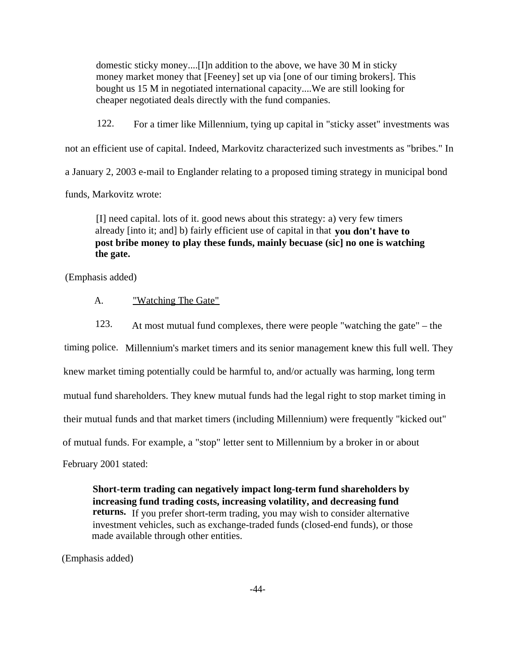domestic sticky money....[I]n addition to the above, we have 30 M in sticky money market money that [Feeney] set up via [one of our timing brokers]. This bought us 15 M in negotiated international capacity....We are still looking for cheaper negotiated deals directly with the fund companies.

122. For a timer like Millennium, tying up capital in "sticky asset" investments was not an efficient use of capital. Indeed, Markovitz characterized such investments as "bribes." In a January 2, 2003 e-mail to Englander relating to a proposed timing strategy in municipal bond funds, Markovitz wrote:

[I] need capital. lots of it. good news about this strategy: a) very few timers already [into it; and] b) fairly efficient use of capital in that **you don't have to post bribe money to play these funds, mainly becuase (sic] no one is watching the gate.**

(Emphasis added)

A. "Watching The Gate"

123. At most mutual fund complexes, there were people "watching the gate" – the timing police. Millennium's market timers and its senior management knew this full well. They knew market timing potentially could be harmful to, and/or actually was harming, long term mutual fund shareholders. They knew mutual funds had the legal right to stop market timing in their mutual funds and that market timers (including Millennium) were frequently "kicked out" of mutual funds. For example, a "stop" letter sent to Millennium by a broker in or about February 2001 stated:

**Short-term trading can negatively impact long-term fund shareholders by increasing fund trading costs, increasing volatility, and decreasing fund returns.** If you prefer short-term trading, you may wish to consider alternative investment vehicles, such as exchange-traded funds (closed-end funds), or those made available through other entities.

(Emphasis added)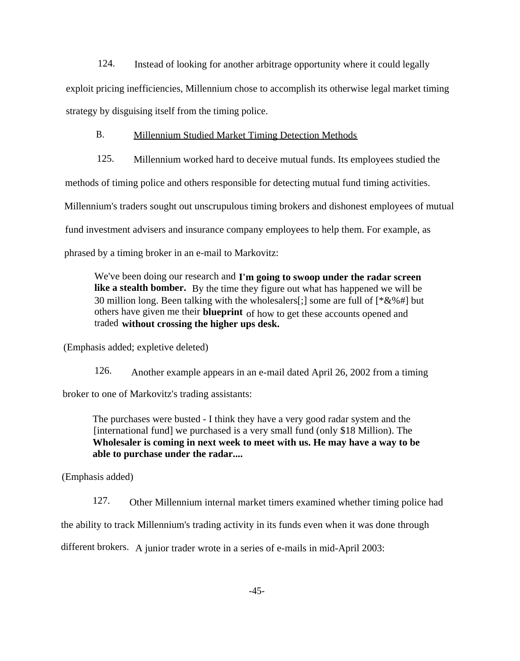124. Instead of looking for another arbitrage opportunity where it could legally

exploit pricing inefficiencies, Millennium chose to accomplish its otherwise legal market timing strategy by disguising itself from the timing police.

## B. Millennium Studied Market Timing Detection Methods

125. Millennium worked hard to deceive mutual funds. Its employees studied the

methods of timing police and others responsible for detecting mutual fund timing activities.

Millennium's traders sought out unscrupulous timing brokers and dishonest employees of mutual

fund investment advisers and insurance company employees to help them. For example, as

phrased by a timing broker in an e-mail to Markovitz:

We've been doing our research and **I'm going to swoop under the radar screen like a stealth bomber.** By the time they figure out what has happened we will be 30 million long. Been talking with the wholesalers[;] some are full of  $[^*&\%^*]$  but others have given me their **blueprint** of how to get these accounts opened and traded **without crossing the higher ups desk.**

(Emphasis added; expletive deleted)

126. Another example appears in an e-mail dated April 26, 2002 from a timing broker to one of Markovitz's trading assistants:

The purchases were busted - I think they have a very good radar system and the [international fund] we purchased is a very small fund (only \$18 Million). The **Wholesaler is coming in next week to meet with us. He may have a way to be able to purchase under the radar....**

(Emphasis added)

127. Other Millennium internal market timers examined whether timing police had the ability to track Millennium's trading activity in its funds even when it was done through

different brokers. A junior trader wrote in a series of e-mails in mid-April 2003: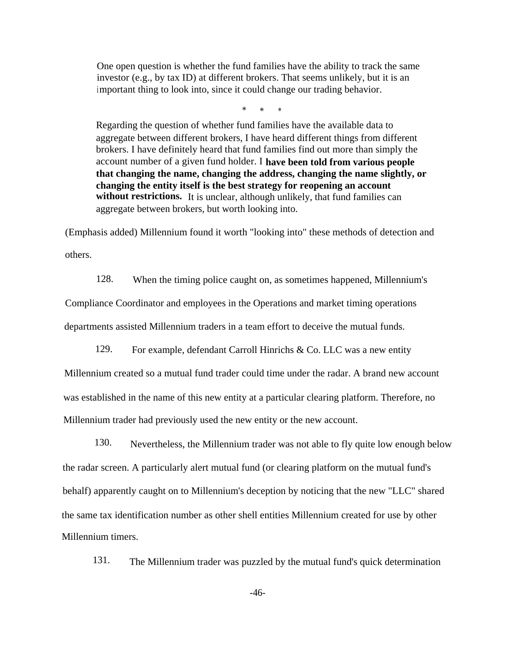One open question is whether the fund families have the ability to track the same investor (e.g., by tax ID) at different brokers. That seems unlikely, but it is an important thing to look into, since it could change our trading behavior.

\* \* \*

Regarding the question of whether fund families have the available data to aggregate between different brokers, I have heard different things from different brokers. I have definitely heard that fund families find out more than simply the account number of a given fund holder. I **have been told from various people that changing the name, changing the address, changing the name slightly, or changing the entity itself is the best strategy for reopening an account** without restrictions. It is unclear, although unlikely, that fund families can aggregate between brokers, but worth looking into.

(Emphasis added) Millennium found it worth "looking into" these methods of detection and others.

128. When the timing police caught on, as sometimes happened, Millennium's Compliance Coordinator and employees in the Operations and market timing operations departments assisted Millennium traders in a team effort to deceive the mutual funds.

129. For example, defendant Carroll Hinrichs & Co. LLC was a new entity

Millennium created so a mutual fund trader could time under the radar. A brand new account was established in the name of this new entity at a particular clearing platform. Therefore, no Millennium trader had previously used the new entity or the new account.

130. Nevertheless, the Millennium trader was not able to fly quite low enough below the radar screen. A particularly alert mutual fund (or clearing platform on the mutual fund's behalf) apparently caught on to Millennium's deception by noticing that the new "LLC" shared the same tax identification number as other shell entities Millennium created for use by other Millennium timers.

131. The Millennium trader was puzzled by the mutual fund's quick determination

-46-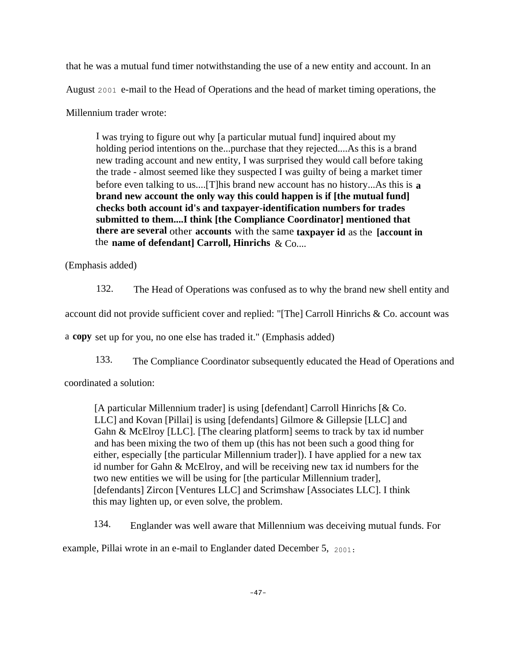that he was a mutual fund timer notwithstanding the use of a new entity and account. In an August 2001 e-mail to the Head of Operations and the head of market timing operations, the Millennium trader wrote:

I was trying to figure out why [a particular mutual fund] inquired about my holding period intentions on the...purchase that they rejected....As this is a brand new trading account and new entity, I was surprised they would call before taking the trade - almost seemed like they suspected I was guilty of being a market timer before even talking to us....[T]his brand new account has no history...As this is **a brand new account the only way this could happen is if [the mutual fund] checks both account id's and taxpayer-identification numbers for trades submitted to them....I think [the Compliance Coordinator] mentioned that there are several** other **accounts** with the same **taxpayer id** as the **[account in** the **name of defendant] Carroll, Hinrichs** & Co....

(Emphasis added)

132. The Head of Operations was confused as to why the brand new shell entity and

account did not provide sufficient cover and replied: "[The] Carroll Hinrichs & Co. account was

a **copy** set up for you, no one else has traded it." (Emphasis added)

133. The Compliance Coordinator subsequently educated the Head of Operations and coordinated a solution:

[A particular Millennium trader] is using [defendant] Carroll Hinrichs [& Co. LLC] and Kovan [Pillai] is using [defendants] Gilmore & Gillepsie [LLC] and Gahn & McElroy [LLC]. [The clearing platform] seems to track by tax id number and has been mixing the two of them up (this has not been such a good thing for either, especially [the particular Millennium trader]). I have applied for a new tax id number for Gahn & McElroy, and will be receiving new tax id numbers for the two new entities we will be using for [the particular Millennium trader], [defendants] Zircon [Ventures LLC] and Scrimshaw [Associates LLC]. I think this may lighten up, or even solve, the problem.

134. Englander was well aware that Millennium was deceiving mutual funds. For example, Pillai wrote in an e-mail to Englander dated December 5, 2001: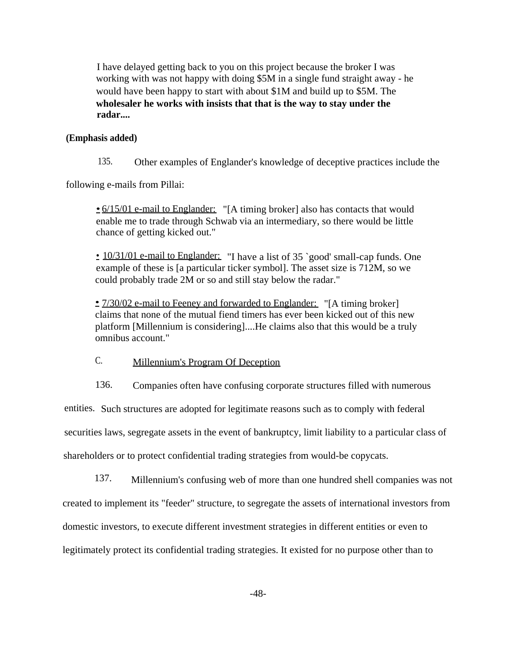I have delayed getting back to you on this project because the broker I was working with was not happy with doing \$5M in a single fund straight away - he would have been happy to start with about \$1M and build up to \$5M. The **wholesaler he works with insists that that is the way to stay under the radar....**

### **(Emphasis added)**

135. Other examples of Englander's knowledge of deceptive practices include the

following e-mails from Pillai:

• 6/15/01 e-mail to Englander: "[A timing broker] also has contacts that would enable me to trade through Schwab via an intermediary, so there would be little chance of getting kicked out."

• 10/31/01 e-mail to Englander: "I have a list of 35 `good' small-cap funds. One example of these is [a particular ticker symbol]. The asset size is 712M, so we could probably trade 2M or so and still stay below the radar."

• 7/30/02 e-mail to Feeney and forwarded to Englander: "[A timing broker] claims that none of the mutual fiend timers has ever been kicked out of this new platform [Millennium is considering]....He claims also that this would be a truly omnibus account."

C. Millennium's Program Of Deception

136. Companies often have confusing corporate structures filled with numerous

entities. Such structures are adopted for legitimate reasons such as to comply with federal

securities laws, segregate assets in the event of bankruptcy, limit liability to a particular class of

shareholders or to protect confidential trading strategies from would-be copycats.

137. Millennium's confusing web of more than one hundred shell companies was not created to implement its "feeder" structure, to segregate the assets of international investors from domestic investors, to execute different investment strategies in different entities or even to legitimately protect its confidential trading strategies. It existed for no purpose other than to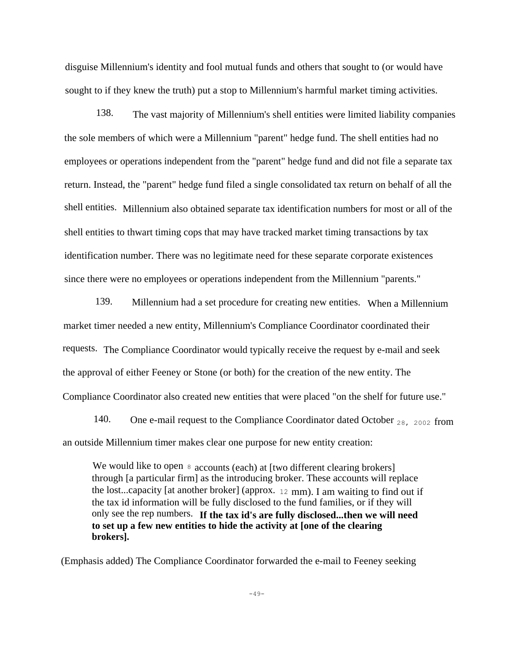disguise Millennium's identity and fool mutual funds and others that sought to (or would have sought to if they knew the truth) put a stop to Millennium's harmful market timing activities.

138. The vast majority of Millennium's shell entities were limited liability companies the sole members of which were a Millennium "parent" hedge fund. The shell entities had no employees or operations independent from the "parent" hedge fund and did not file a separate tax return. Instead, the "parent" hedge fund filed a single consolidated tax return on behalf of all the shell entities. Millennium also obtained separate tax identification numbers for most or all of the shell entities to thwart timing cops that may have tracked market timing transactions by tax identification number. There was no legitimate need for these separate corporate existences since there were no employees or operations independent from the Millennium "parents."

139. Millennium had a set procedure for creating new entities. When a Millennium market timer needed a new entity, Millennium's Compliance Coordinator coordinated their requests. The Compliance Coordinator would typically receive the request by e-mail and seek the approval of either Feeney or Stone (or both) for the creation of the new entity. The Compliance Coordinator also created new entities that were placed "on the shelf for future use."

140. One e-mail request to the Compliance Coordinator dated October <sub>28, 2002</sub> from an outside Millennium timer makes clear one purpose for new entity creation:

We would like to open  $\frac{8}{10}$  accounts (each) at [two different clearing brokers] through [a particular firm] as the introducing broker. These accounts will replace the lost...capacity [at another broker] (approx. <sup>12</sup> mm). I am waiting to find out if the tax id information will be fully disclosed to the fund families, or if they will only see the rep numbers. **If the tax id's are fully disclosed...then we will need to set up a few new entities to hide the activity at [one of the clearing brokers].**

(Emphasis added) The Compliance Coordinator forwarded the e-mail to Feeney seeking

 $-49-$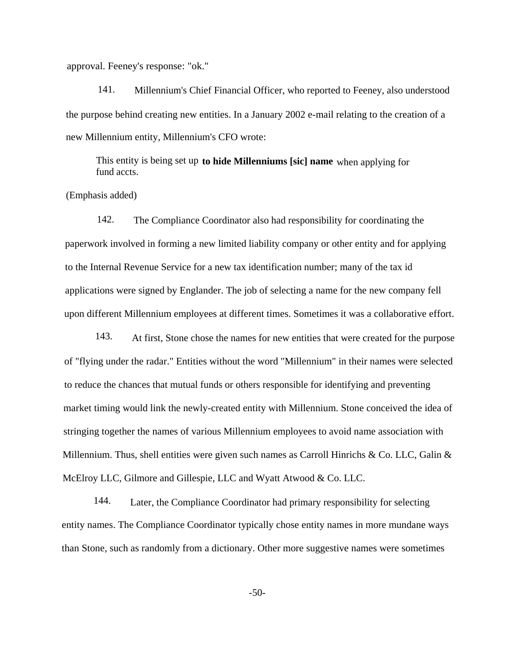approval. Feeney's response: "ok."

141. Millennium's Chief Financial Officer, who reported to Feeney, also understood the purpose behind creating new entities. In a January 2002 e-mail relating to the creation of a new Millennium entity, Millennium's CFO wrote:

This entity is being set up **to hide Millenniums [sic] name** when applying for fund accts.

## (Emphasis added)

142. The Compliance Coordinator also had responsibility for coordinating the paperwork involved in forming a new limited liability company or other entity and for applying to the Internal Revenue Service for a new tax identification number; many of the tax id applications were signed by Englander. The job of selecting a name for the new company fell upon different Millennium employees at different times. Sometimes it was a collaborative effort.

143. At first, Stone chose the names for new entities that were created for the purpose of "flying under the radar." Entities without the word "Millennium" in their names were selected to reduce the chances that mutual funds or others responsible for identifying and preventing market timing would link the newly-created entity with Millennium. Stone conceived the idea of stringing together the names of various Millennium employees to avoid name association with Millennium. Thus, shell entities were given such names as Carroll Hinrichs & Co. LLC, Galin  $\&$ McElroy LLC, Gilmore and Gillespie, LLC and Wyatt Atwood & Co. LLC.

144. Later, the Compliance Coordinator had primary responsibility for selecting entity names. The Compliance Coordinator typically chose entity names in more mundane ways than Stone, such as randomly from a dictionary. Other more suggestive names were sometimes

-50-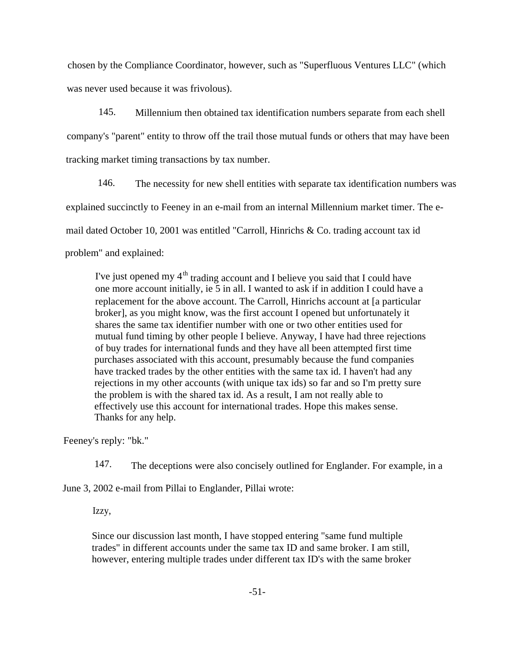chosen by the Compliance Coordinator, however, such as "Superfluous Ventures LLC" (which was never used because it was frivolous).

145. Millennium then obtained tax identification numbers separate from each shell company's "parent" entity to throw off the trail those mutual funds or others that may have been tracking market timing transactions by tax number.

146. The necessity for new shell entities with separate tax identification numbers was explained succinctly to Feeney in an e-mail from an internal Millennium market timer. The email dated October 10, 2001 was entitled "Carroll, Hinrichs & Co. trading account tax id problem" and explained:

I've just opened my  $4<sup>th</sup>$  trading account and I believe you said that I could have one more account initially, ie 5 in all. I wanted to ask if in addition I could have a replacement for the above account. The Carroll, Hinrichs account at [a particular broker], as you might know, was the first account I opened but unfortunately it shares the same tax identifier number with one or two other entities used for mutual fund timing by other people I believe. Anyway, I have had three rejections of buy trades for international funds and they have all been attempted first time purchases associated with this account, presumably because the fund companies have tracked trades by the other entities with the same tax id. I haven't had any rejections in my other accounts (with unique tax ids) so far and so I'm pretty sure the problem is with the shared tax id. As a result, I am not really able to effectively use this account for international trades. Hope this makes sense. Thanks for any help.

Feeney's reply: "bk."

147. The deceptions were also concisely outlined for Englander. For example, in a

June 3, 2002 e-mail from Pillai to Englander, Pillai wrote:

Izzy,

Since our discussion last month, I have stopped entering "same fund multiple trades" in different accounts under the same tax ID and same broker. I am still, however, entering multiple trades under different tax ID's with the same broker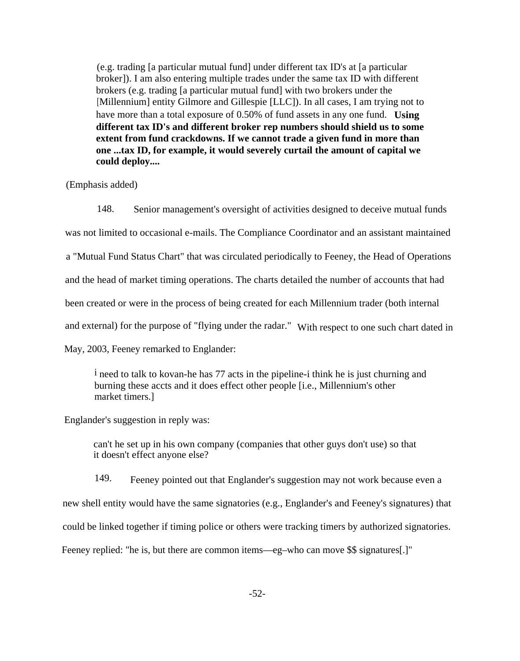(e.g. trading [a particular mutual fund] under different tax ID's at [a particular broker]). I am also entering multiple trades under the same tax ID with different brokers (e.g. trading [a particular mutual fund] with two brokers under the [Millennium] entity Gilmore and Gillespie [LLC]). In all cases, I am trying not to have more than a total exposure of 0.50% of fund assets in any one fund. **Using different tax ID's and different broker rep numbers should shield us to some extent from fund crackdowns. If we cannot trade a given fund in more than one ...tax ID, for example, it would severely curtail the amount of capital we could deploy....**

(Emphasis added)

148. Senior management's oversight of activities designed to deceive mutual funds was not limited to occasional e-mails. The Compliance Coordinator and an assistant maintained a "Mutual Fund Status Chart" that was circulated periodically to Feeney, the Head of Operations and the head of market timing operations. The charts detailed the number of accounts that had been created or were in the process of being created for each Millennium trader (both internal and external) for the purpose of "flying under the radar." With respect to one such chart dated in May, 2003, Feeney remarked to Englander:

i need to talk to kovan-he has 77 acts in the pipeline-i think he is just churning and burning these accts and it does effect other people [i.e., Millennium's other market timers.]

Englander's suggestion in reply was:

can't he set up in his own company (companies that other guys don't use) so that it doesn't effect anyone else?

149. Feeney pointed out that Englander's suggestion may not work because even a new shell entity would have the same signatories (e.g., Englander's and Feeney's signatures) that could be linked together if timing police or others were tracking timers by authorized signatories. Feeney replied: "he is, but there are common items—eg–who can move \$\$ signatures[.]"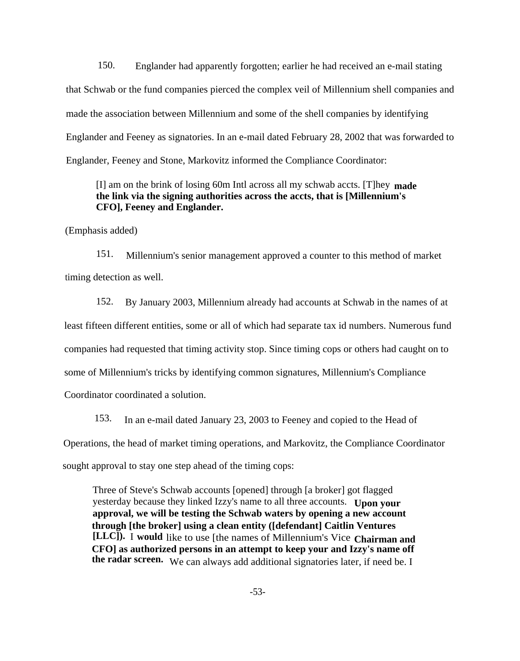150. Englander had apparently forgotten; earlier he had received an e-mail stating that Schwab or the fund companies pierced the complex veil of Millennium shell companies and made the association between Millennium and some of the shell companies by identifying Englander and Feeney as signatories. In an e-mail dated February 28, 2002 that was forwarded to Englander, Feeney and Stone, Markovitz informed the Compliance Coordinator:

[I] am on the brink of losing 60m Intl across all my schwab accts. [T]hey **made the link via the signing authorities across the accts, that is [Millennium's CFO], Feeney and Englander.**

(Emphasis added)

151. Millennium's senior management approved a counter to this method of market timing detection as well.

152. By January 2003, Millennium already had accounts at Schwab in the names of at least fifteen different entities, some or all of which had separate tax id numbers. Numerous fund companies had requested that timing activity stop. Since timing cops or others had caught on to some of Millennium's tricks by identifying common signatures, Millennium's Compliance Coordinator coordinated a solution.

153. In an e-mail dated January 23, 2003 to Feeney and copied to the Head of Operations, the head of market timing operations, and Markovitz, the Compliance Coordinator sought approval to stay one step ahead of the timing cops:

Three of Steve's Schwab accounts [opened] through [a broker] got flagged yesterday because they linked Izzy's name to all three accounts. **Upon your approval, we will be testing the Schwab waters by opening a new account through [the broker] using a clean entity ([defendant] Caitlin Ventures [LLC]).** I **would** like to use [the names of Millennium's Vice **Chairman and CFO] as authorized persons in an attempt to keep your and Izzy's name off the radar screen.** We can always add additional signatories later, if need be. I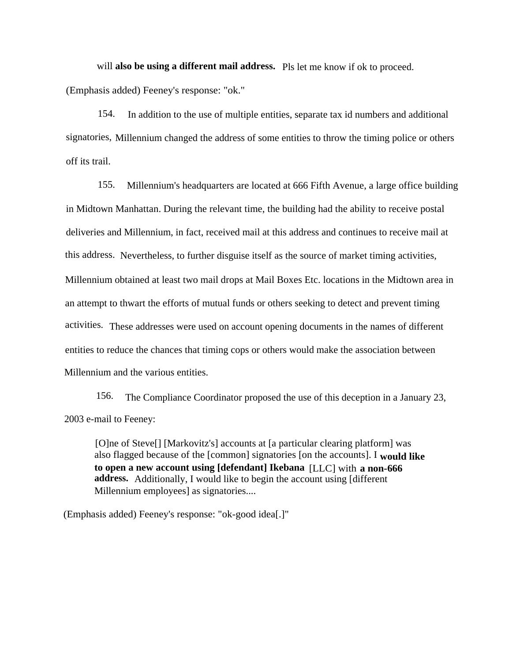will **also be using a different mail address.** Pls let me know if ok to proceed.

(Emphasis added) Feeney's response: "ok."

154. In addition to the use of multiple entities, separate tax id numbers and additional signatories, Millennium changed the address of some entities to throw the timing police or others off its trail.

155. Millennium's headquarters are located at 666 Fifth Avenue, a large office building in Midtown Manhattan. During the relevant time, the building had the ability to receive postal deliveries and Millennium, in fact, received mail at this address and continues to receive mail at this address. Nevertheless, to further disguise itself as the source of market timing activities, Millennium obtained at least two mail drops at Mail Boxes Etc. locations in the Midtown area in an attempt to thwart the efforts of mutual funds or others seeking to detect and prevent timing activities. These addresses were used on account opening documents in the names of different entities to reduce the chances that timing cops or others would make the association between Millennium and the various entities.

156. The Compliance Coordinator proposed the use of this deception in a January 23, 2003 e-mail to Feeney:

[O]ne of Steve[] [Markovitz's] accounts at [a particular clearing platform] was also flagged because of the [common] signatories [on the accounts]. I **would like to open a new account using [defendant] Ikebana** [LLC] with **a non-666 address.** Additionally, I would like to begin the account using [different Millennium employees] as signatories....

(Emphasis added) Feeney's response: "ok-good idea[.]"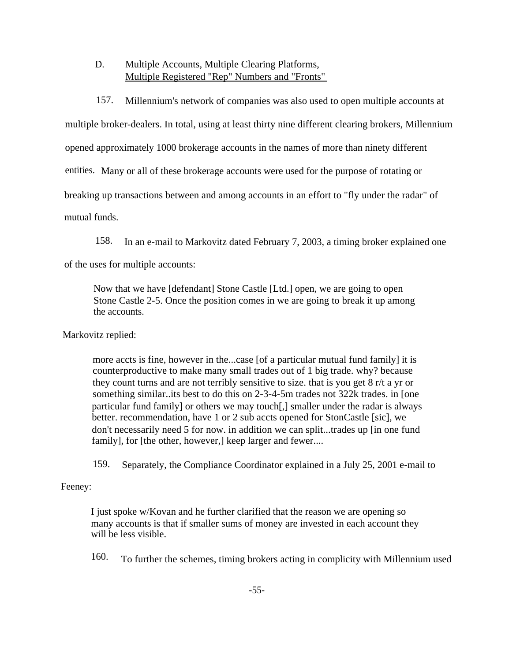# D. Multiple Accounts, Multiple Clearing Platforms, Multiple Registered "Rep" Numbers and "Fronts"

157. Millennium's network of companies was also used to open multiple accounts at

multiple broker-dealers. In total, using at least thirty nine different clearing brokers, Millennium

opened approximately 1000 brokerage accounts in the names of more than ninety different

entities. Many or all of these brokerage accounts were used for the purpose of rotating or

breaking up transactions between and among accounts in an effort to "fly under the radar" of

mutual funds.

158. In an e-mail to Markovitz dated February 7, 2003, a timing broker explained one

of the uses for multiple accounts:

Now that we have [defendant] Stone Castle [Ltd.] open, we are going to open Stone Castle 2-5. Once the position comes in we are going to break it up among the accounts.

Markovitz replied:

more accts is fine, however in the...case [of a particular mutual fund family] it is counterproductive to make many small trades out of 1 big trade. why? because they count turns and are not terribly sensitive to size. that is you get 8 r/t a yr or something similar..its best to do this on 2-3-4-5m trades not 322k trades. in [one particular fund family] or others we may touch[,] smaller under the radar is always better. recommendation, have 1 or 2 sub accts opened for StonCastle [sic], we don't necessarily need 5 for now. in addition we can split...trades up [in one fund family], for [the other, however,] keep larger and fewer....

159. Separately, the Compliance Coordinator explained in a July 25, 2001 e-mail to

# Feeney:

I just spoke w/Kovan and he further clarified that the reason we are opening so many accounts is that if smaller sums of money are invested in each account they will be less visible.

160. To further the schemes, timing brokers acting in complicity with Millennium used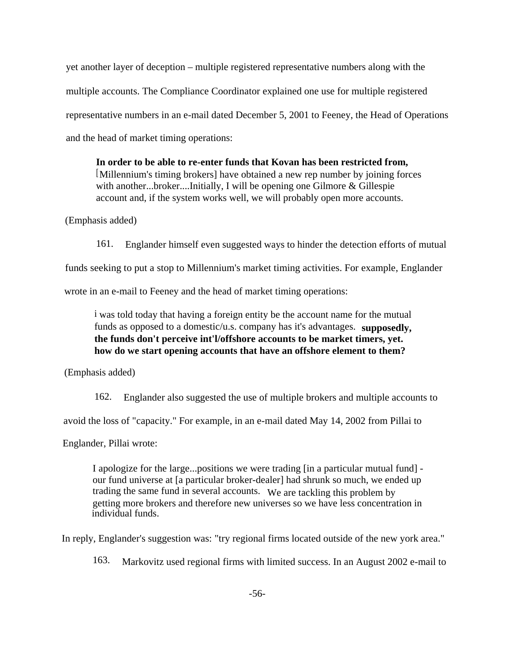yet another layer of deception – multiple registered representative numbers along with the multiple accounts. The Compliance Coordinator explained one use for multiple registered representative numbers in an e-mail dated December 5, 2001 to Feeney, the Head of Operations and the head of market timing operations:

**In order to be able to re-enter funds that Kovan has been restricted from,** [Millennium's timing brokers] have obtained a new rep number by joining forces with another...broker....Initially, I will be opening one Gilmore & Gillespie account and, if the system works well, we will probably open more accounts.

(Emphasis added)

161. Englander himself even suggested ways to hinder the detection efforts of mutual

funds seeking to put a stop to Millennium's market timing activities. For example, Englander

wrote in an e-mail to Feeney and the head of market timing operations:

i was told today that having a foreign entity be the account name for the mutual funds as opposed to a domestic/u.s. company has it's advantages. **supposedly, the funds don't perceive int'l/offshore accounts to be market timers, yet. how do we start opening accounts that have an offshore element to them?**

(Emphasis added)

162. Englander also suggested the use of multiple brokers and multiple accounts to

avoid the loss of "capacity." For example, in an e-mail dated May 14, 2002 from Pillai to

Englander, Pillai wrote:

I apologize for the large...positions we were trading [in a particular mutual fund] our fund universe at [a particular broker-dealer] had shrunk so much, we ended up trading the same fund in several accounts. We are tackling this problem by getting more brokers and therefore new universes so we have less concentration in individual funds.

In reply, Englander's suggestion was: "try regional firms located outside of the new york area."

163. Markovitz used regional firms with limited success. In an August 2002 e-mail to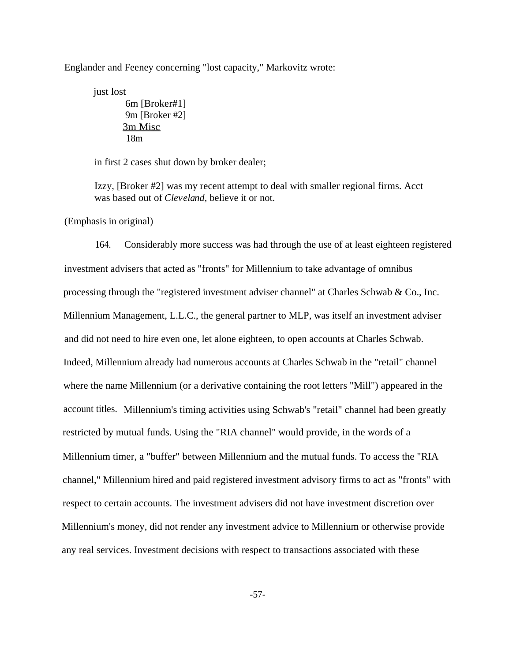Englander and Feeney concerning "lost capacity," Markovitz wrote:

just lost 6m [Broker#1] 9m [Broker #2] 3m Misc 18m

in first 2 cases shut down by broker dealer;

Izzy, [Broker #2] was my recent attempt to deal with smaller regional firms. Acct was based out of *Cleveland,* believe it or not.

(Emphasis in original)

164. Considerably more success was had through the use of at least eighteen registered investment advisers that acted as "fronts" for Millennium to take advantage of omnibus processing through the "registered investment adviser channel" at Charles Schwab & Co., Inc. Millennium Management, L.L.C., the general partner to MLP, was itself an investment adviser and did not need to hire even one, let alone eighteen, to open accounts at Charles Schwab. Indeed, Millennium already had numerous accounts at Charles Schwab in the "retail" channel where the name Millennium (or a derivative containing the root letters "Mill") appeared in the account titles. Millennium's timing activities using Schwab's "retail" channel had been greatly restricted by mutual funds. Using the "RIA channel" would provide, in the words of a Millennium timer, a "buffer" between Millennium and the mutual funds. To access the "RIA channel," Millennium hired and paid registered investment advisory firms to act as "fronts" with respect to certain accounts. The investment advisers did not have investment discretion over Millennium's money, did not render any investment advice to Millennium or otherwise provide any real services. Investment decisions with respect to transactions associated with these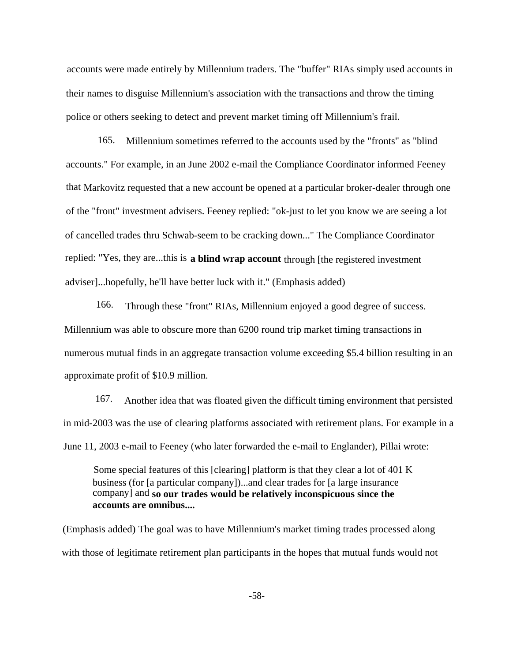accounts were made entirely by Millennium traders. The "buffer" RIAs simply used accounts in their names to disguise Millennium's association with the transactions and throw the timing police or others seeking to detect and prevent market timing off Millennium's frail.

165. Millennium sometimes referred to the accounts used by the "fronts" as "blind accounts." For example, in an June 2002 e-mail the Compliance Coordinator informed Feeney that Markovitz requested that a new account be opened at a particular broker-dealer through one of the "front" investment advisers. Feeney replied: "ok-just to let you know we are seeing a lot of cancelled trades thru Schwab-seem to be cracking down..." The Compliance Coordinator replied: "Yes, they are...this is **a blind wrap account** through [the registered investment adviser]...hopefully, he'll have better luck with it." (Emphasis added)

166. Through these "front" RIAs, Millennium enjoyed a good degree of success. Millennium was able to obscure more than 6200 round trip market timing transactions in numerous mutual finds in an aggregate transaction volume exceeding \$5.4 billion resulting in an approximate profit of \$10.9 million.

167. Another idea that was floated given the difficult timing environment that persisted in mid-2003 was the use of clearing platforms associated with retirement plans. For example in a June 11, 2003 e-mail to Feeney (who later forwarded the e-mail to Englander), Pillai wrote:

Some special features of this [clearing] platform is that they clear a lot of 401 K business (for [a particular company])...and clear trades for [a large insurance company] and **so our trades would be relatively inconspicuous since the accounts are omnibus....**

(Emphasis added) The goal was to have Millennium's market timing trades processed along with those of legitimate retirement plan participants in the hopes that mutual funds would not

-58-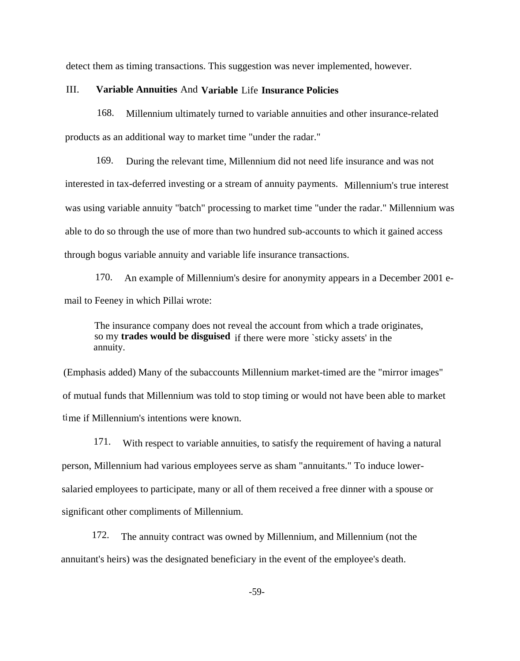detect them as timing transactions. This suggestion was never implemented, however.

#### III. **Variable Annuities** And **Variable** Life **Insurance Policies**

168. Millennium ultimately turned to variable annuities and other insurance-related products as an additional way to market time "under the radar."

169. During the relevant time, Millennium did not need life insurance and was not interested in tax-deferred investing or a stream of annuity payments. Millennium's true interest was using variable annuity "batch" processing to market time "under the radar." Millennium was able to do so through the use of more than two hundred sub-accounts to which it gained access through bogus variable annuity and variable life insurance transactions.

170. An example of Millennium's desire for anonymity appears in a December 2001 email to Feeney in which Pillai wrote:

The insurance company does not reveal the account from which a trade originates, so my **trades would be disguised** if there were more `sticky assets' in the annuity.

(Emphasis added) Many of the subaccounts Millennium market-timed are the "mirror images" of mutual funds that Millennium was told to stop timing or would not have been able to market time if Millennium's intentions were known.

171. With respect to variable annuities, to satisfy the requirement of having a natural person, Millennium had various employees serve as sham "annuitants." To induce lowersalaried employees to participate, many or all of them received a free dinner with a spouse or significant other compliments of Millennium.

172. The annuity contract was owned by Millennium, and Millennium (not the annuitant's heirs) was the designated beneficiary in the event of the employee's death.

-59-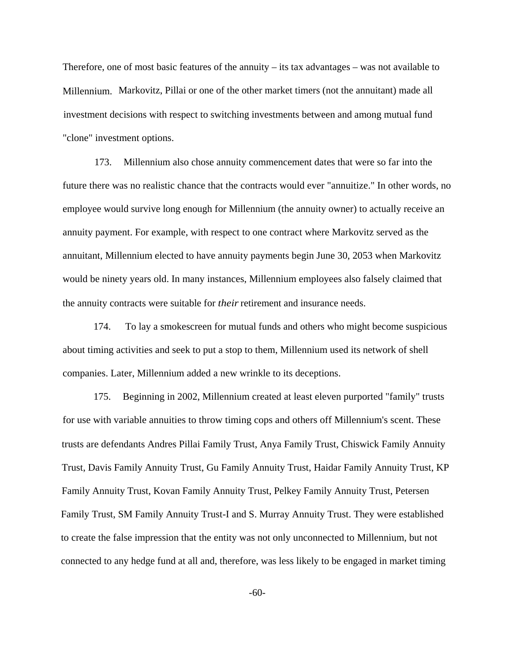Therefore, one of most basic features of the annuity – its tax advantages – was not available to Millennium. Markovitz, Pillai or one of the other market timers (not the annuitant) made all investment decisions with respect to switching investments between and among mutual fund "clone" investment options.

173. Millennium also chose annuity commencement dates that were so far into the future there was no realistic chance that the contracts would ever "annuitize." In other words, no employee would survive long enough for Millennium (the annuity owner) to actually receive an annuity payment. For example, with respect to one contract where Markovitz served as the annuitant, Millennium elected to have annuity payments begin June 30, 2053 when Markovitz would be ninety years old. In many instances, Millennium employees also falsely claimed that the annuity contracts were suitable for *their* retirement and insurance needs.

174. To lay a smokescreen for mutual funds and others who might become suspicious about timing activities and seek to put a stop to them, Millennium used its network of shell companies. Later, Millennium added a new wrinkle to its deceptions.

175. Beginning in 2002, Millennium created at least eleven purported "family" trusts for use with variable annuities to throw timing cops and others off Millennium's scent. These trusts are defendants Andres Pillai Family Trust, Anya Family Trust, Chiswick Family Annuity Trust, Davis Family Annuity Trust, Gu Family Annuity Trust, Haidar Family Annuity Trust, KP Family Annuity Trust, Kovan Family Annuity Trust, Pelkey Family Annuity Trust, Petersen Family Trust, SM Family Annuity Trust-I and S. Murray Annuity Trust. They were established to create the false impression that the entity was not only unconnected to Millennium, but not connected to any hedge fund at all and, therefore, was less likely to be engaged in market timing

-60-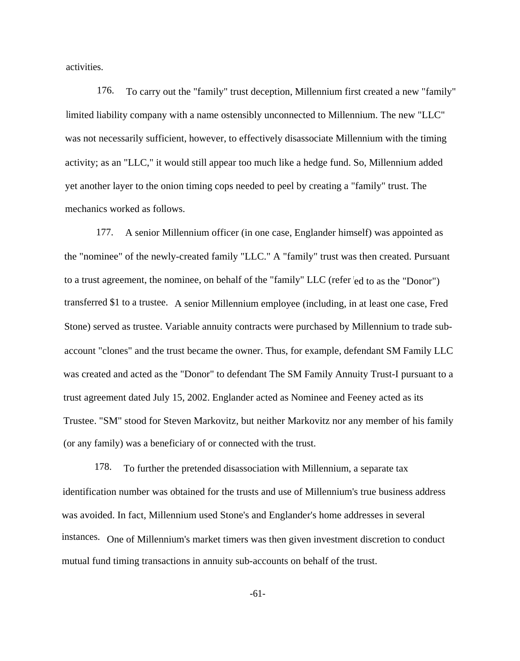activities.

176. To carry out the "family" trust deception, Millennium first created a new "family" limited liability company with a name ostensibly unconnected to Millennium. The new "LLC" was not necessarily sufficient, however, to effectively disassociate Millennium with the timing activity; as an "LLC," it would still appear too much like a hedge fund. So, Millennium added yet another layer to the onion timing cops needed to peel by creating a "family" trust. The mechanics worked as follows.

177. A senior Millennium officer (in one case, Englander himself) was appointed as the "nominee" of the newly-created family "LLC." A "family" trust was then created. Pursuant to a trust agreement, the nominee, on behalf of the "family" LLC (refer <sup>t</sup>ed to as the "Donor") transferred \$1 to a trustee. A senior Millennium employee (including, in at least one case, Fred Stone) served as trustee. Variable annuity contracts were purchased by Millennium to trade subaccount "clones" and the trust became the owner. Thus, for example, defendant SM Family LLC was created and acted as the "Donor" to defendant The SM Family Annuity Trust-I pursuant to a trust agreement dated July 15, 2002. Englander acted as Nominee and Feeney acted as its Trustee. "SM" stood for Steven Markovitz, but neither Markovitz nor any member of his family (or any family) was a beneficiary of or connected with the trust.

178. To further the pretended disassociation with Millennium, a separate tax identification number was obtained for the trusts and use of Millennium's true business address was avoided. In fact, Millennium used Stone's and Englander's home addresses in several instances. One of Millennium's market timers was then given investment discretion to conduct mutual fund timing transactions in annuity sub-accounts on behalf of the trust.

-61-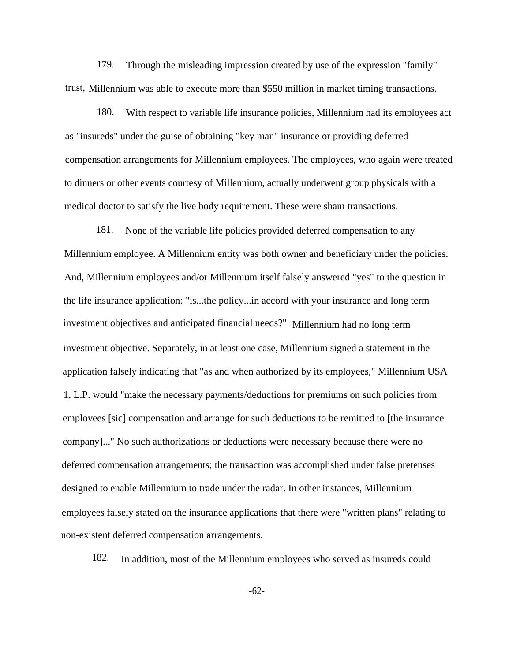179. Through the misleading impression created by use of the expression "family" trust, Millennium was able to execute more than \$550 million in market timing transactions.

180. With respect to variable life insurance policies, Millennium had its employees act as "insureds" under the guise of obtaining "key man" insurance or providing deferred compensation arrangements for Millennium employees. The employees, who again were treated to dinners or other events courtesy of Millennium, actually underwent group physicals with a medical doctor to satisfy the live body requirement. These were sham transactions.

181. None of the variable life policies provided deferred compensation to any Millennium employee. A Millennium entity was both owner and beneficiary under the policies. And, Millennium employees and/or Millennium itself falsely answered "yes" to the question in the life insurance application: "is...the policy...in accord with your insurance and long term investment objectives and anticipated financial needs?" Millennium had no long term investment objective. Separately, in at least one case, Millennium signed a statement in the application falsely indicating that "as and when authorized by its employees," Millennium USA 1, L.P. would "make the necessary payments/deductions for premiums on such policies from employees [sic] compensation and arrange for such deductions to be remitted to [the insurance company]..." No such authorizations or deductions were necessary because there were no deferred compensation arrangements; the transaction was accomplished under false pretenses designed to enable Millennium to trade under the radar. In other instances, Millennium employees falsely stated on the insurance applications that there were "written plans" relating to non-existent deferred compensation arrangements.

182. In addition, most of the Millennium employees who served as insureds could

-62-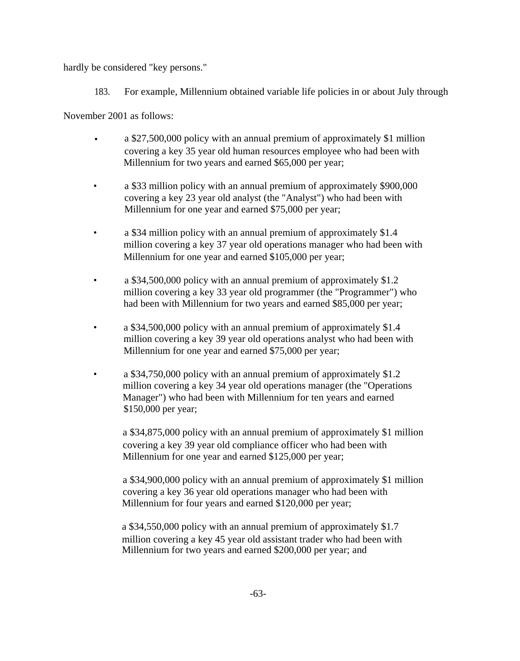hardly be considered "key persons."

183. For example, Millennium obtained variable life policies in or about July through

November 2001 as follows:

- a \$27,500,000 policy with an annual premium of approximately \$1 million covering a key 35 year old human resources employee who had been with Millennium for two years and earned \$65,000 per year;
- a \$33 million policy with an annual premium of approximately \$900,000 covering a key 23 year old analyst (the "Analyst") who had been with Millennium for one year and earned \$75,000 per year;
- a \$34 million policy with an annual premium of approximately \$1.4 million covering a key 37 year old operations manager who had been with Millennium for one year and earned \$105,000 per year;
- a \$34,500,000 policy with an annual premium of approximately \$1.2 million covering a key 33 year old programmer (the "Programmer") who had been with Millennium for two years and earned \$85,000 per year;
- a \$34,500,000 policy with an annual premium of approximately \$1.4 million covering a key 39 year old operations analyst who had been with Millennium for one year and earned \$75,000 per year;
- a \$34,750,000 policy with an annual premium of approximately \$1.2 million covering a key 34 year old operations manager (the "Operations Manager") who had been with Millennium for ten years and earned \$150,000 per year;

a \$34,875,000 policy with an annual premium of approximately \$1 million covering a key 39 year old compliance officer who had been with Millennium for one year and earned \$125,000 per year;

a \$34,900,000 policy with an annual premium of approximately \$1 million covering a key 36 year old operations manager who had been with Millennium for four years and earned \$120,000 per year;

a \$34,550,000 policy with an annual premium of approximately \$1.7 million covering a key 45 year old assistant trader who had been with Millennium for two years and earned \$200,000 per year; and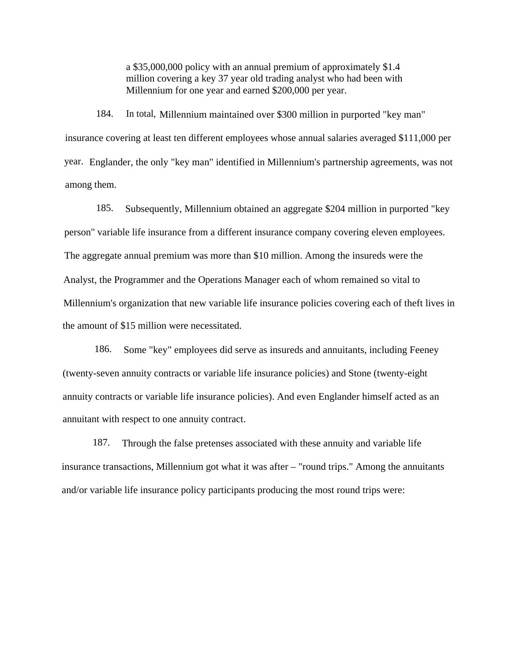a \$35,000,000 policy with an annual premium of approximately \$1.4 million covering a key 37 year old trading analyst who had been with Millennium for one year and earned \$200,000 per year.

184. In total, Millennium maintained over \$300 million in purported "key man" insurance covering at least ten different employees whose annual salaries averaged \$111,000 per year. Englander, the only "key man" identified in Millennium's partnership agreements, was not among them.

185. Subsequently, Millennium obtained an aggregate \$204 million in purported "key person" variable life insurance from a different insurance company covering eleven employees. The aggregate annual premium was more than \$10 million. Among the insureds were the Analyst, the Programmer and the Operations Manager each of whom remained so vital to Millennium's organization that new variable life insurance policies covering each of theft lives in the amount of \$15 million were necessitated.

186. Some "key" employees did serve as insureds and annuitants, including Feeney (twenty-seven annuity contracts or variable life insurance policies) and Stone (twenty-eight annuity contracts or variable life insurance policies). And even Englander himself acted as an annuitant with respect to one annuity contract.

187. Through the false pretenses associated with these annuity and variable life insurance transactions, Millennium got what it was after – "round trips." Among the annuitants and/or variable life insurance policy participants producing the most round trips were: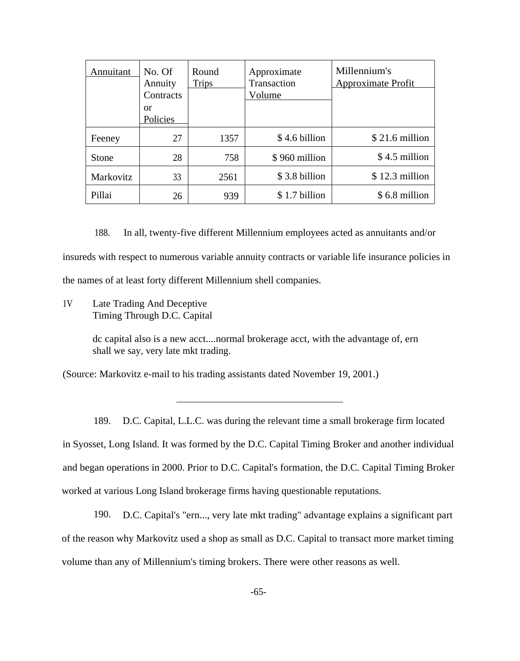| Annuitant    | No. Of<br>Annuity | Round<br><b>Trips</b> | Approximate<br>Transaction | Millennium's<br><b>Approximate Profit</b> |
|--------------|-------------------|-----------------------|----------------------------|-------------------------------------------|
|              | Contracts         |                       | Volume                     |                                           |
|              | or<br>Policies    |                       |                            |                                           |
| Feeney       | 27                | 1357                  | \$4.6 billion              | $$21.6$ million                           |
| <b>Stone</b> | 28                | 758                   | \$960 million              | \$4.5 million                             |
| Markovitz    | 33                | 2561                  | \$3.8 billion              | $$12.3$ million                           |
| Pillai       | 26                | 939                   | \$1.7 billion              | \$6.8 million                             |

188. In all, twenty-five different Millennium employees acted as annuitants and/or insureds with respect to numerous variable annuity contracts or variable life insurance policies in the names of at least forty different Millennium shell companies.

1V Late Trading And Deceptive Timing Through D.C. Capital

> dc capital also is a new acct....normal brokerage acct, with the advantage of, ern shall we say, very late mkt trading.

(Source: Markovitz e-mail to his trading assistants dated November 19, 2001.)

189. D.C. Capital, L.L.C. was during the relevant time a small brokerage firm located in Syosset, Long Island. It was formed by the D.C. Capital Timing Broker and another individual and began operations in 2000. Prior to D.C. Capital's formation, the D.C. Capital Timing Broker worked at various Long Island brokerage firms having questionable reputations.

190. D.C. Capital's "ern..., very late mkt trading" advantage explains a significant part of the reason why Markovitz used a shop as small as D.C. Capital to transact more market timing volume than any of Millennium's timing brokers. There were other reasons as well.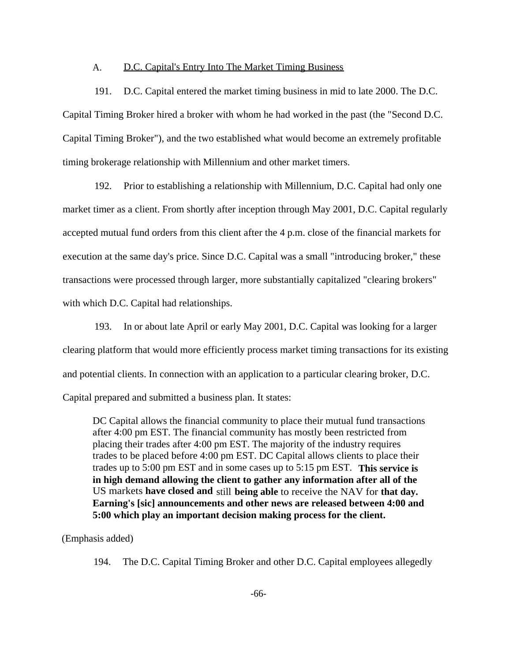#### A. D.C. Capital's Entry Into The Market Timing Business

191. D.C. Capital entered the market timing business in mid to late 2000. The D.C. Capital Timing Broker hired a broker with whom he had worked in the past (the "Second D.C. Capital Timing Broker"), and the two established what would become an extremely profitable timing brokerage relationship with Millennium and other market timers.

192. Prior to establishing a relationship with Millennium, D.C. Capital had only one market timer as a client. From shortly after inception through May 2001, D.C. Capital regularly accepted mutual fund orders from this client after the 4 p.m. close of the financial markets for execution at the same day's price. Since D.C. Capital was a small "introducing broker," these transactions were processed through larger, more substantially capitalized "clearing brokers" with which D.C. Capital had relationships.

193. In or about late April or early May 2001, D.C. Capital was looking for a larger clearing platform that would more efficiently process market timing transactions for its existing and potential clients. In connection with an application to a particular clearing broker, D.C. Capital prepared and submitted a business plan. It states:

DC Capital allows the financial community to place their mutual fund transactions after 4:00 pm EST. The financial community has mostly been restricted from placing their trades after 4:00 pm EST. The majority of the industry requires trades to be placed before 4:00 pm EST. DC Capital allows clients to place their trades up to 5:00 pm EST and in some cases up to 5:15 pm EST. **This service is in high demand allowing the client to gather any information after all of the** US markets **have closed and** still **being able** to receive the NAV for **that day. Earning's [sic] announcements and other news are released between 4:00 and 5:00 which play an important decision making process for the client.**

### (Emphasis added)

194. The D.C. Capital Timing Broker and other D.C. Capital employees allegedly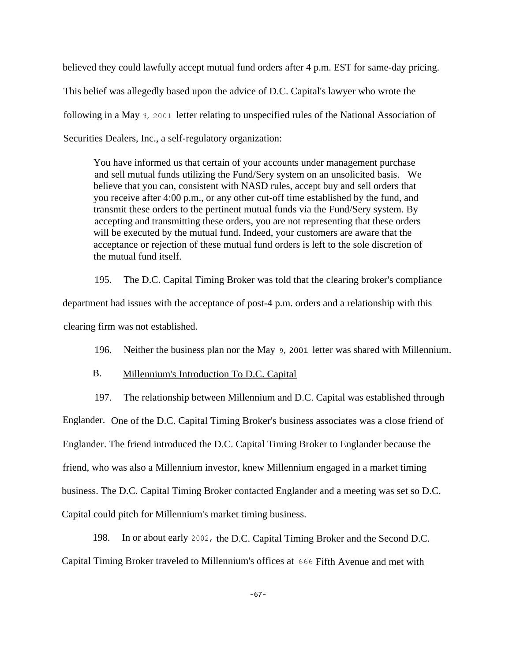believed they could lawfully accept mutual fund orders after 4 p.m. EST for same-day pricing. This belief was allegedly based upon the advice of D.C. Capital's lawyer who wrote the following in a May 9, 2001 letter relating to unspecified rules of the National Association of Securities Dealers, Inc., a self-regulatory organization:

You have informed us that certain of your accounts under management purchase and sell mutual funds utilizing the Fund/Sery system on an unsolicited basis. We believe that you can, consistent with NASD rules, accept buy and sell orders that you receive after 4:00 p.m., or any other cut-off time established by the fund, and transmit these orders to the pertinent mutual funds via the Fund/Sery system. By accepting and transmitting these orders, you are not representing that these orders will be executed by the mutual fund. Indeed, your customers are aware that the acceptance or rejection of these mutual fund orders is left to the sole discretion of the mutual fund itself.

195. The D.C. Capital Timing Broker was told that the clearing broker's compliance department had issues with the acceptance of post-4 p.m. orders and a relationship with this clearing firm was not established.

196. Neither the business plan nor the May 9, 2001 letter was shared with Millennium.

# B. Millennium's Introduction To D.C. Capital

197. The relationship between Millennium and D.C. Capital was established through Englander. One of the D.C. Capital Timing Broker's business associates was a close friend of Englander. The friend introduced the D.C. Capital Timing Broker to Englander because the friend, who was also a Millennium investor, knew Millennium engaged in a market timing business. The D.C. Capital Timing Broker contacted Englander and a meeting was set so D.C. Capital could pitch for Millennium's market timing business.

198. In or about early 2002, the D.C. Capital Timing Broker and the Second D.C. Capital Timing Broker traveled to Millennium's offices at 666 Fifth Avenue and met with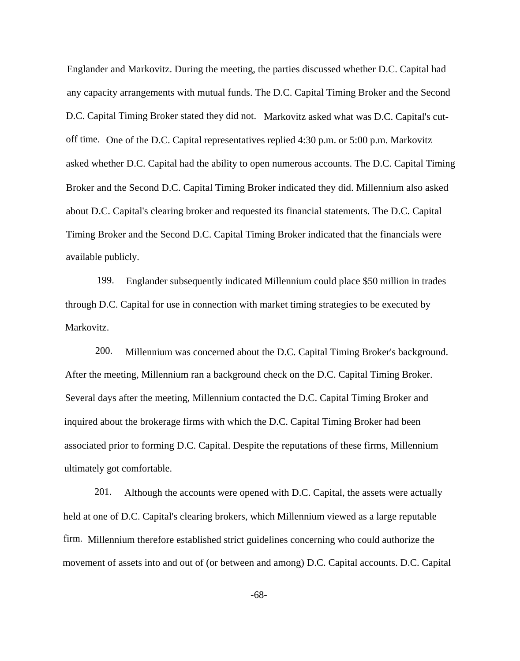Englander and Markovitz. During the meeting, the parties discussed whether D.C. Capital had any capacity arrangements with mutual funds. The D.C. Capital Timing Broker and the Second D.C. Capital Timing Broker stated they did not. Markovitz asked what was D.C. Capital's cutoff time. One of the D.C. Capital representatives replied 4:30 p.m. or 5:00 p.m. Markovitz asked whether D.C. Capital had the ability to open numerous accounts. The D.C. Capital Timing Broker and the Second D.C. Capital Timing Broker indicated they did. Millennium also asked about D.C. Capital's clearing broker and requested its financial statements. The D.C. Capital Timing Broker and the Second D.C. Capital Timing Broker indicated that the financials were available publicly.

199. Englander subsequently indicated Millennium could place \$50 million in trades through D.C. Capital for use in connection with market timing strategies to be executed by Markovitz.

200. Millennium was concerned about the D.C. Capital Timing Broker's background. After the meeting, Millennium ran a background check on the D.C. Capital Timing Broker. Several days after the meeting, Millennium contacted the D.C. Capital Timing Broker and inquired about the brokerage firms with which the D.C. Capital Timing Broker had been associated prior to forming D.C. Capital. Despite the reputations of these firms, Millennium ultimately got comfortable.

201. Although the accounts were opened with D.C. Capital, the assets were actually held at one of D.C. Capital's clearing brokers, which Millennium viewed as a large reputable firm. Millennium therefore established strict guidelines concerning who could authorize the movement of assets into and out of (or between and among) D.C. Capital accounts. D.C. Capital

-68-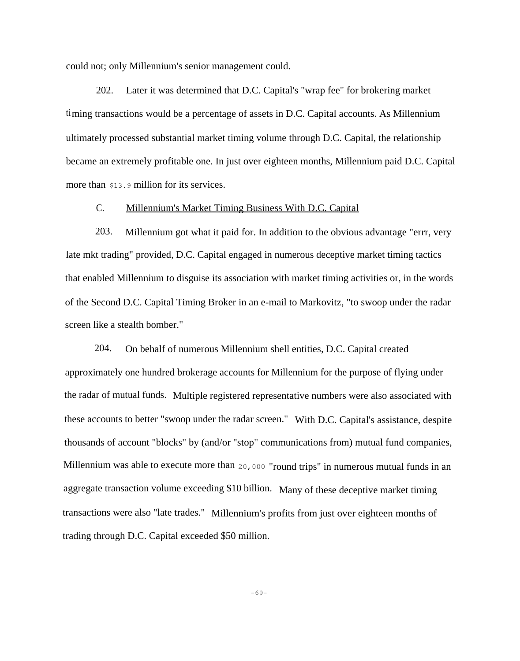could not; only Millennium's senior management could.

202. Later it was determined that D.C. Capital's "wrap fee" for brokering market timing transactions would be a percentage of assets in D.C. Capital accounts. As Millennium ultimately processed substantial market timing volume through D.C. Capital, the relationship became an extremely profitable one. In just over eighteen months, Millennium paid D.C. Capital more than \$13.9 million for its services.

## C. Millennium's Market Timing Business With D.C. Capital

203. Millennium got what it paid for. In addition to the obvious advantage "errr, very late mkt trading" provided, D.C. Capital engaged in numerous deceptive market timing tactics that enabled Millennium to disguise its association with market timing activities or, in the words of the Second D.C. Capital Timing Broker in an e-mail to Markovitz, "to swoop under the radar screen like a stealth bomber."

204. On behalf of numerous Millennium shell entities, D.C. Capital created approximately one hundred brokerage accounts for Millennium for the purpose of flying under the radar of mutual funds. Multiple registered representative numbers were also associated with these accounts to better "swoop under the radar screen." With D.C. Capital's assistance, despite thousands of account "blocks" by (and/or "stop" communications from) mutual fund companies, Millennium was able to execute more than 20,000 "round trips" in numerous mutual funds in an aggregate transaction volume exceeding \$10 billion. Many of these deceptive market timing transactions were also "late trades." Millennium's profits from just over eighteen months of trading through D.C. Capital exceeded \$50 million.

-69-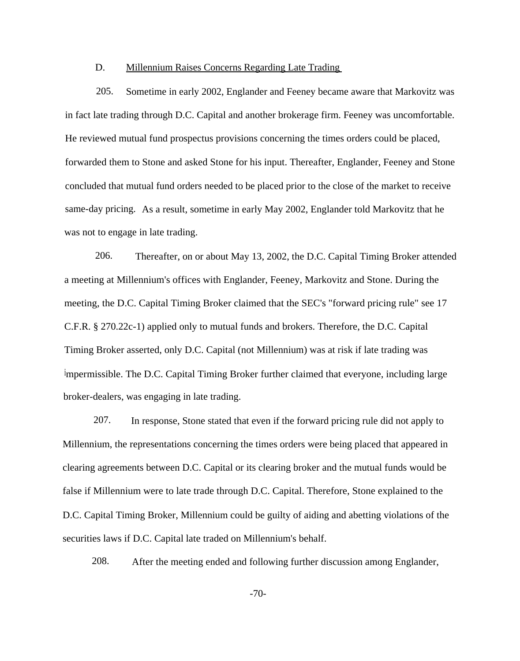#### D. Millennium Raises Concerns Regarding Late Trading

205. Sometime in early 2002, Englander and Feeney became aware that Markovitz was in fact late trading through D.C. Capital and another brokerage firm. Feeney was uncomfortable. He reviewed mutual fund prospectus provisions concerning the times orders could be placed, forwarded them to Stone and asked Stone for his input. Thereafter, Englander, Feeney and Stone concluded that mutual fund orders needed to be placed prior to the close of the market to receive same-day pricing. As a result, sometime in early May 2002, Englander told Markovitz that he was not to engage in late trading.

206. Thereafter, on or about May 13, 2002, the D.C. Capital Timing Broker attended a meeting at Millennium's offices with Englander, Feeney, Markovitz and Stone. During the meeting, the D.C. Capital Timing Broker claimed that the SEC's "forward pricing rule" see 17 C.F.R. § 270.22c-1) applied only to mutual funds and brokers. Therefore, the D.C. Capital Timing Broker asserted, only D.C. Capital (not Millennium) was at risk if late trading was impermissible. The D.C. Capital Timing Broker further claimed that everyone, including large broker-dealers, was engaging in late trading.

207. In response, Stone stated that even if the forward pricing rule did not apply to Millennium, the representations concerning the times orders were being placed that appeared in clearing agreements between D.C. Capital or its clearing broker and the mutual funds would be false if Millennium were to late trade through D.C. Capital. Therefore, Stone explained to the D.C. Capital Timing Broker, Millennium could be guilty of aiding and abetting violations of the securities laws if D.C. Capital late traded on Millennium's behalf.

208. After the meeting ended and following further discussion among Englander,

-70-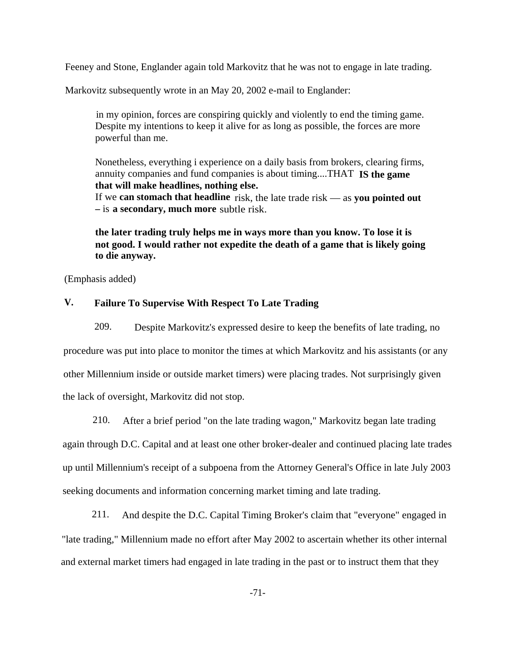Feeney and Stone, Englander again told Markovitz that he was not to engage in late trading.

Markovitz subsequently wrote in an May 20, 2002 e-mail to Englander:

in my opinion, forces are conspiring quickly and violently to end the timing game. Despite my intentions to keep it alive for as long as possible, the forces are more powerful than me.

Nonetheless, everything i experience on a daily basis from brokers, clearing firms, annuity companies and fund companies is about timing....THAT **IS the game that will make headlines, nothing else.** If we **can stomach that headline** risk, the late trade risk — as **you pointed out**

**—** is **a secondary, much more** subtle risk.

**the later trading truly helps me in ways more than you know. To lose it is not good. I would rather not expedite the death of a game that is likely going to die anyway.**

(Emphasis added)

# **V. Failure To Supervise With Respect To Late Trading**

209. Despite Markovitz's expressed desire to keep the benefits of late trading, no procedure was put into place to monitor the times at which Markovitz and his assistants (or any other Millennium inside or outside market timers) were placing trades. Not surprisingly given the lack of oversight, Markovitz did not stop.

210. After a brief period "on the late trading wagon," Markovitz began late trading

again through D.C. Capital and at least one other broker-dealer and continued placing late trades up until Millennium's receipt of a subpoena from the Attorney General's Office in late July 2003 seeking documents and information concerning market timing and late trading.

211. And despite the D.C. Capital Timing Broker's claim that "everyone" engaged in "late trading," Millennium made no effort after May 2002 to ascertain whether its other internal and external market timers had engaged in late trading in the past or to instruct them that they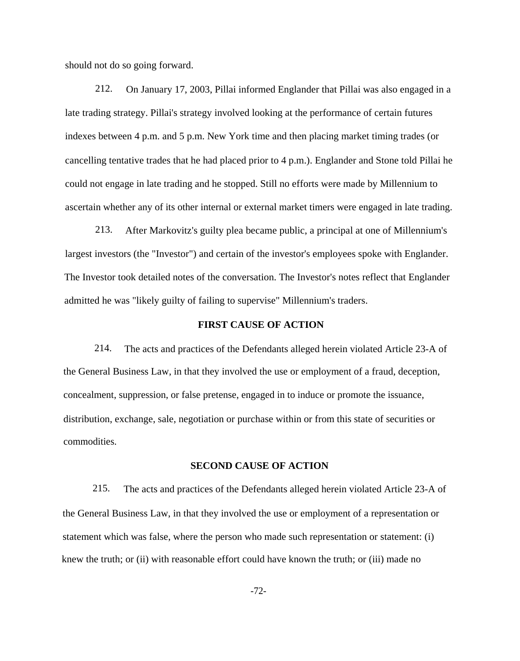should not do so going forward.

212. On January 17, 2003, Pillai informed Englander that Pillai was also engaged in a late trading strategy. Pillai's strategy involved looking at the performance of certain futures indexes between 4 p.m. and 5 p.m. New York time and then placing market timing trades (or cancelling tentative trades that he had placed prior to 4 p.m.). Englander and Stone told Pillai he could not engage in late trading and he stopped. Still no efforts were made by Millennium to ascertain whether any of its other internal or external market timers were engaged in late trading.

213. After Markovitz's guilty plea became public, a principal at one of Millennium's largest investors (the "Investor") and certain of the investor's employees spoke with Englander. The Investor took detailed notes of the conversation. The Investor's notes reflect that Englander admitted he was "likely guilty of failing to supervise" Millennium's traders.

### **FIRST CAUSE OF ACTION**

214. The acts and practices of the Defendants alleged herein violated Article 23-A of the General Business Law, in that they involved the use or employment of a fraud, deception, concealment, suppression, or false pretense, engaged in to induce or promote the issuance, distribution, exchange, sale, negotiation or purchase within or from this state of securities or commodities.

### **SECOND CAUSE OF ACTION**

215. The acts and practices of the Defendants alleged herein violated Article 23-A of the General Business Law, in that they involved the use or employment of a representation or statement which was false, where the person who made such representation or statement: (i) knew the truth; or (ii) with reasonable effort could have known the truth; or (iii) made no

-72-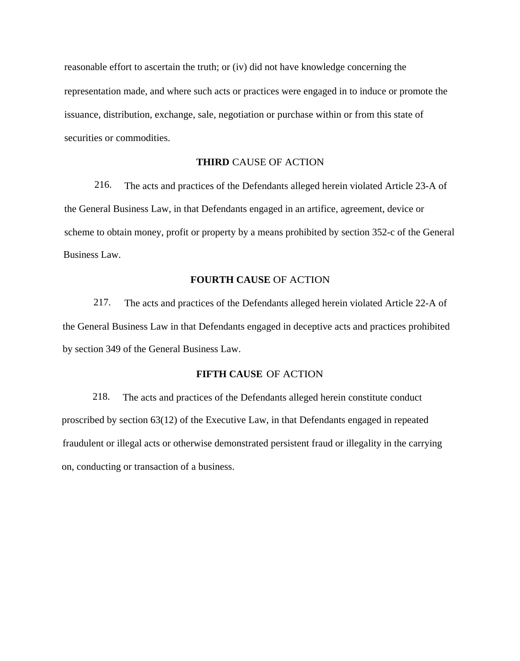reasonable effort to ascertain the truth; or (iv) did not have knowledge concerning the representation made, and where such acts or practices were engaged in to induce or promote the issuance, distribution, exchange, sale, negotiation or purchase within or from this state of securities or commodities.

## **THIRD** CAUSE OF ACTION

216. The acts and practices of the Defendants alleged herein violated Article 23-A of the General Business Law, in that Defendants engaged in an artifice, agreement, device or scheme to obtain money, profit or property by a means prohibited by section 352-c of the General Business Law.

### **FOURTH CAUSE** OF ACTION

217. The acts and practices of the Defendants alleged herein violated Article 22-A of the General Business Law in that Defendants engaged in deceptive acts and practices prohibited by section 349 of the General Business Law.

# **FIFTH CAUSE** OF ACTION

218. The acts and practices of the Defendants alleged herein constitute conduct proscribed by section 63(12) of the Executive Law, in that Defendants engaged in repeated fraudulent or illegal acts or otherwise demonstrated persistent fraud or illegality in the carrying on, conducting or transaction of a business.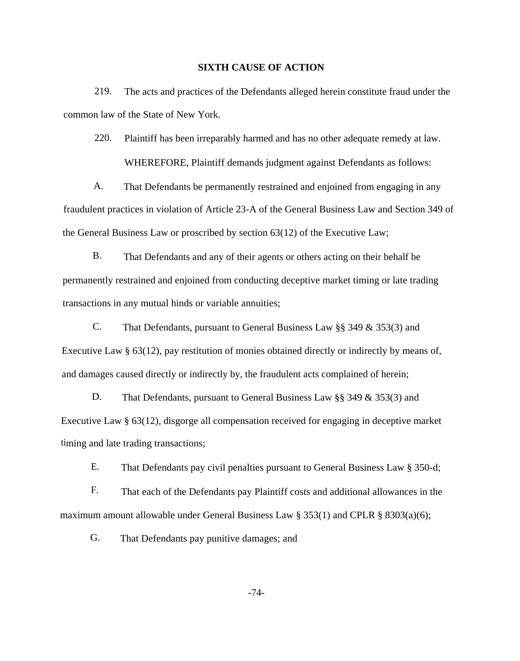#### **SIXTH CAUSE OF ACTION**

219. The acts and practices of the Defendants alleged herein constitute fraud under the common law of the State of New York.

220. Plaintiff has been irreparably harmed and has no other adequate remedy at law. WHEREFORE, Plaintiff demands judgment against Defendants as follows:

A. That Defendants be permanently restrained and enjoined from engaging in any fraudulent practices in violation of Article 23-A of the General Business Law and Section 349 of the General Business Law or proscribed by section 63(12) of the Executive Law;

B. That Defendants and any of their agents or others acting on their behalf be permanently restrained and enjoined from conducting deceptive market timing or late trading transactions in any mutual hinds or variable annuities;

C. That Defendants, pursuant to General Business Law §§ 349 & 353(3) and Executive Law § 63(12), pay restitution of monies obtained directly or indirectly by means of, and damages caused directly or indirectly by, the fraudulent acts complained of herein;

D. That Defendants, pursuant to General Business Law §§ 349 & 353(3) and Executive Law § 63(12), disgorge all compensation received for engaging in deceptive market timing and late trading transactions;

E. That Defendants pay civil penalties pursuant to General Business Law § 350-d;

F. That each of the Defendants pay Plaintiff costs and additional allowances in the maximum amount allowable under General Business Law § 353(1) and CPLR § 8303(a)(6);

G. That Defendants pay punitive damages; and

-74-